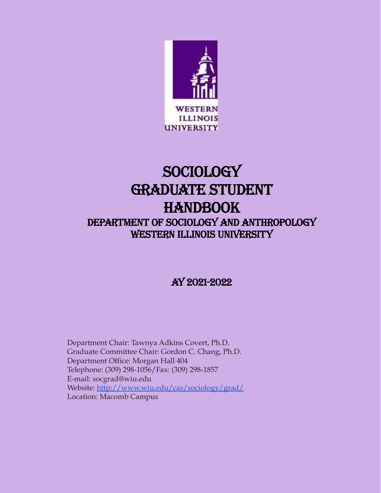

# Sociology Graduate STUDENT **HANDBOOK** DEPARTMENT OF SOCIOLOGY AND ANTHROPOLOGY

WESTERN ILLINOIS UNIVERSITY

AY 2021-2022

Department Chair: Tawnya Adkins Covert, Ph.D. Graduate Committee Chair: Gordon C. Chang, Ph.D. Department Office: Morgan Hall 404 Telephone: (309) 298-1056/Fax: (309) 298-1857 E-mail: socgrad@wiu.edu Website: <http://www.wiu.edu/cas/sociology/grad/> Location: Macomb Campus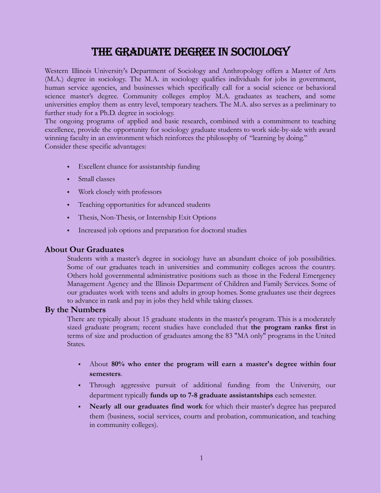# The Graduate Degree in Sociology

Western Illinois University's Department of Sociology and Anthropology offers a Master of Arts (M.A.) degree in sociology. The M.A. in sociology qualifies individuals for jobs in government, human service agencies, and businesses which specifically call for a social science or behavioral science master's degree. Community colleges employ M.A. graduates as teachers, and some universities employ them as entry level, temporary teachers. The M.A. also serves as a preliminary to further study for a Ph.D. degree in sociology.

The ongoing programs of applied and basic research, combined with a commitment to teaching excellence, provide the opportunity for sociology graduate students to work side-by-side with award winning faculty in an environment which reinforces the philosophy of "learning by doing." Consider these specific advantages:

- Excellent chance for assistantship funding
- Small classes
- Work closely with professors
- Teaching opportunities for advanced students
- Thesis, Non-Thesis, or Internship Exit Options
- **•** Increased job options and preparation for doctoral studies

### **About Our Graduates**

Students with a master's degree in sociology have an abundant choice of job possibilities. Some of our graduates teach in universities and community colleges across the country. Others hold governmental administrative positions such as those in the Federal Emergency Management Agency and the Illinois Department of Children and Family Services. Some of our graduates work with teens and adults in group homes. Some graduates use their degrees to advance in rank and pay in jobs they held while taking classes.

### **By the Numbers**

There are typically about 15 graduate students in the master's program. This is a moderately sized graduate program; recent studies have concluded that **the program ranks first** in terms of size and production of graduates among the 83 "MA only" programs in the United States.

- About **80% who enter the program will earn a master's degree within four semesters**.
- Through aggressive pursuit of additional funding from the University, our department typically **funds up to 7-8 graduate assistantships** each semester.
- **Nearly all our graduates find work** for which their master's degree has prepared them (business, social services, courts and probation, communication, and teaching in community colleges).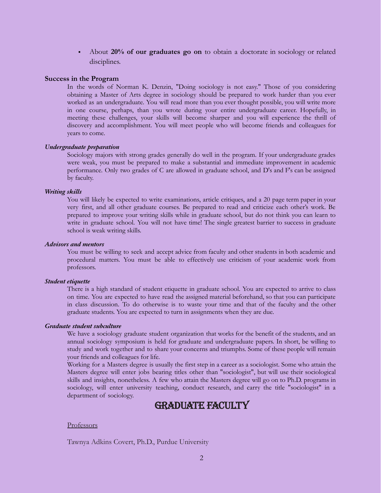▪ About **20% of our graduates go on** to obtain a doctorate in sociology or related disciplines.

#### **Success in the Program**

In the words of Norman K. Denzin, "Doing sociology is not easy." Those of you considering obtaining a Master of Arts degree in sociology should be prepared to work harder than you ever worked as an undergraduate. You will read more than you ever thought possible, you will write more in one course, perhaps, than you wrote during your entire undergraduate career. Hopefully, in meeting these challenges, your skills will become sharper and you will experience the thrill of discovery and accomplishment. You will meet people who will become friends and colleagues for years to come.

#### *Undergraduate preparation*

Sociology majors with strong grades generally do well in the program. If your undergraduate grades were weak, you must be prepared to make a substantial and immediate improvement in academic performance. Only two grades of C are allowed in graduate school, and D's and F's can be assigned by faculty.

#### *Writing skills*

You will likely be expected to write examinations, article critiques, and a 20 page term paper in your very first, and all other graduate courses. Be prepared to read and criticize each other's work. Be prepared to improve your writing skills while in graduate school, but do not think you can learn to write in graduate school. You will not have time! The single greatest barrier to success in graduate school is weak writing skills.

#### *Advisors and mentors*

You must be willing to seek and accept advice from faculty and other students in both academic and procedural matters. You must be able to effectively use criticism of your academic work from professors.

#### *Student etiquette*

There is a high standard of student etiquette in graduate school. You are expected to arrive to class on time. You are expected to have read the assigned material beforehand, so that you can participate in class discussion. To do otherwise is to waste your time and that of the faculty and the other graduate students. You are expected to turn in assignments when they are due.

#### *Graduate student subculture*

We have a sociology graduate student organization that works for the benefit of the students, and an annual sociology symposium is held for graduate and undergraduate papers. In short, be willing to study and work together and to share your concerns and triumphs. Some of these people will remain your friends and colleagues for life.

Working for a Masters degree is usually the first step in a career as a sociologist. Some who attain the Masters degree will enter jobs bearing titles other than "sociologist", but will use their sociological skills and insights, nonetheless. A few who attain the Masters degree will go on to Ph.D. programs in sociology, will enter university teaching, conduct research, and carry the title "sociologist" in a department of sociology.

# Graduate Faculty

#### Professors

Tawnya Adkins Covert, Ph.D., Purdue University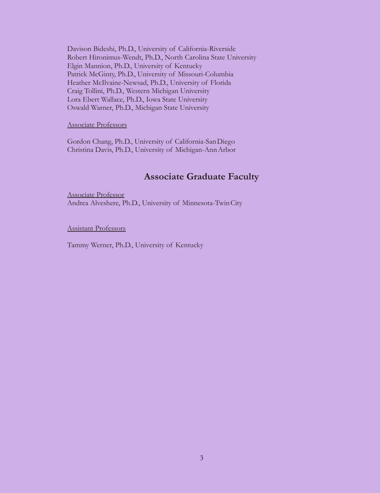Davison Bideshi, Ph.D., University of California-Riverside Robert Hironimus-Wendt, Ph.D., North Carolina State University Elgin Mannion, Ph.D., University of Kentucky Patrick McGinty, Ph.D., University of Missouri-Columbia Heather McIlvaine-Newsad, Ph.D., University of Florida Craig Tollini, Ph.D., Western Michigan University Lora Ebert Wallace, Ph.D., Iowa State University Oswald Warner, Ph.D., Michigan State University

#### Associate Professors

Gordon Chang, Ph.D., University of California-SanDiego Christina Davis, Ph.D., University of Michigan-AnnArbor

# **Associate Graduate Faculty**

Associate Professor Andrea Alveshere, Ph.D., University of Minnesota-TwinCity

Assistant Professors

Tammy Werner, Ph.D., University of Kentucky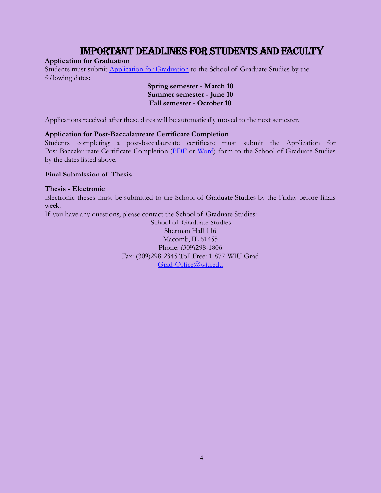# Important Deadlines for Students and Faculty

### **Application for Graduation**

Students must submit [Application for Graduation](http://www.wiu.edu/graduate_studies/current_students/forms/clear.pdf) to the School of Graduate Studies by the following dates:

#### **Spring semester - March 10 Summer semester - June 10 Fall semester - October 10**

Applications received after these dates will be automatically moved to the next semester.

#### **Application for Post-Baccalaureate Certificate Completion**

Students completing a post-baccalaureate certificate must submit the Application for Post-Baccalaureate Certificate Completion [\(PDF](http://www.wiu.edu/graduate_studies/current_students/forms/certcomp.pdf) or [Word](http://www.wiu.edu/graduate_studies/current_students/forms/certcomp.docx)) form to the School of Graduate Studies by the dates listed above.

#### **Final Submission of Thesis**

#### **Thesis - Electronic**

Electronic theses must be submitted to the School of Graduate Studies by the Friday before finals week.

If you have any questions, please contact the Schoolof Graduate Studies:

School of Graduate Studies Sherman Hall 116 Macomb, IL 61455 Phone: (309)298-1806 Fax: (309)298-2345 Toll Free: 1-877-WIU Grad [Grad-Office@wiu.edu](mailto:Grad-Office@wiu.edu)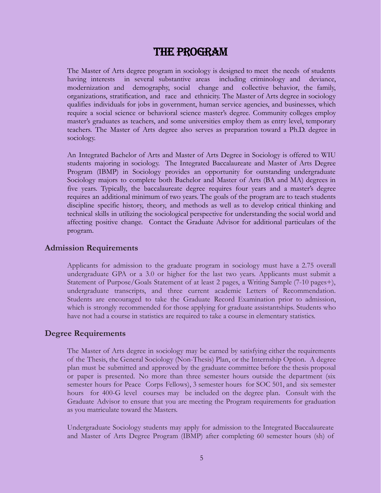# The Program

The Master of Arts degree program in sociology is designed to meet the needs of students having interests in several substantive areas including criminology and deviance, modernization and demography, social change and collective behavior, the family, organizations, stratification, and race and ethnicity. The Master of Arts degree in sociology qualifies individuals for jobs in government, human service agencies, and businesses, which require a social science or behavioral science master's degree. Community colleges employ master's graduates as teachers, and some universities employ them as entry level, temporary teachers. The Master of Arts degree also serves as preparation toward a Ph.D. degree in sociology.

An Integrated Bachelor of Arts and Master of Arts Degree in Sociology is offered to WIU students majoring in sociology. The Integrated Baccalaureate and Master of Arts Degree Program (IBMP) in Sociology provides an opportunity for outstanding undergraduate Sociology majors to complete both Bachelor and Master of Arts (BA and MA) degrees in five years. Typically, the baccalaureate degree requires four years and a master's degree requires an additional minimum of two years. The goals of the program are to teach students discipline specific history, theory, and methods as well as to develop critical thinking and technical skills in utilizing the sociological perspective for understanding the social world and affecting positive change. Contact the Graduate Advisor for additional particulars of the program.

#### **Admission Requirements**

Applicants for admission to the graduate program in sociology must have a 2.75 overall undergraduate GPA or a 3.0 or higher for the last two years. Applicants must submit a Statement of Purpose/Goals Statement of at least 2 pages, a Writing Sample (7-10 pages+), undergraduate transcripts, and three current academic Letters of Recommendation. Students are encouraged to take the Graduate Record Examination prior to admission, which is strongly recommended for those applying for graduate assistantships. Students who have not had a course in statistics are required to take a course in elementary statistics.

### **Degree Requirements**

The Master of Arts degree in sociology may be earned by satisfying either the requirements of the Thesis, the General Sociology (Non-Thesis) Plan, or the Internship Option. A degree plan must be submitted and approved by the graduate committee before the thesis proposal or paper is presented. No more than three semester hours outside the department (six semester hours for Peace Corps Fellows), 3 semester hours for SOC 501, and six semester hours for 400-G level courses may be included on the degree plan. Consult with the Graduate Advisor to ensure that you are meeting the Program requirements for graduation as you matriculate toward the Masters.

Undergraduate Sociology students may apply for admission to the Integrated Baccalaureate and Master of Arts Degree Program (IBMP) after completing 60 semester hours (sh) of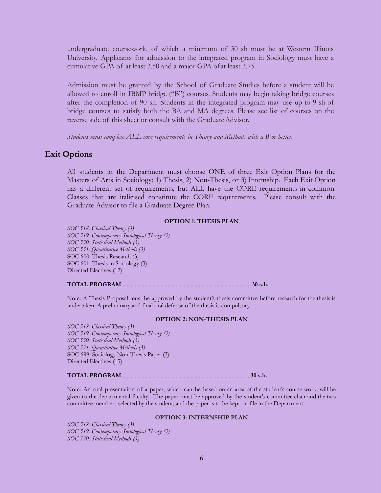undergraduate coursework, of which a minimum of 30 sh must be at Western Illinois University. Applicants for admission to the integrated program in Sociology must have a cumulative GPA of at least 3.50 and a major GPA of at least 3.75.

Admission must be granted by the School of Graduate Studies before a student will be allowed to enroll in IBMP bridge ("B") courses. Students may begin taking bridge courses after the completion of 90 sh. Students in the integrated program may use up to 9 sh of bridge courses to satisfy both the BA and MA degrees. Please see list of courses on the reverse side of this sheet or consult with the Graduate Advisor.

*Students must complete ALL core requirements in Theory and Methods with a B or better.*

#### **Exit Options**

All students in the Department must choose ONE of three Exit Option Plans for the Masters of Arts in Sociology: 1) Thesis, 2) Non-Thesis, or 3) Internship. Each Exit Option has a different set of requirements, but ALL have the CORE requirements in common. Classes that are italicised constitute the CORE requirements. Please consult with the Graduate Advisor to file a Graduate Degree Plan.

#### **OPTION 1: THESIS PLAN**

*SOC 518: Classical Theory (3) SOC 519: Contemporary Sociological Theory (3) SOC 530: Statistical Methods (3) SOC 531: Quantitative Methods (3)* SOC 600: Thesis Research (3) SOC 601: Thesis in Sociology (3) Directed Electives (12)

#### **TOTAL PROGRAM** ...............................................................................................**30 s.h.**

Note: A Thesis Proposal must be approved by the student's thesis committee before research for the thesis is undertaken. A preliminary and final oral defense of the thesis is compulsory.

#### **OPTION 2: NON-THESIS PLAN**

*SOC 518: Classical Theory (3) SOC 519: Contemporary Sociological Theory (3) SOC 530: Statistical Methods (3) SOC 531: Quantitative Methods (3)* SOC 699: Sociology Non-Thesis Paper (3) Directed Electives (15)

#### **TOTAL PROGRAM** ..............................................................................................**30 s.h.**

Note: An oral presentation of a paper, which can be based on an area of the student's course work, will be given to the departmental faculty. The paper must be approved by the student's committee chair and the two committee members selected by the student, and the paper is to be kept on file in the Department.

#### **OPTION 3: INTERNSHIP PLAN**

*SOC 518: Classical Theory (3) SOC 519: Contemporary Sociological Theory (3) SOC 530: Statistical Methods (3)*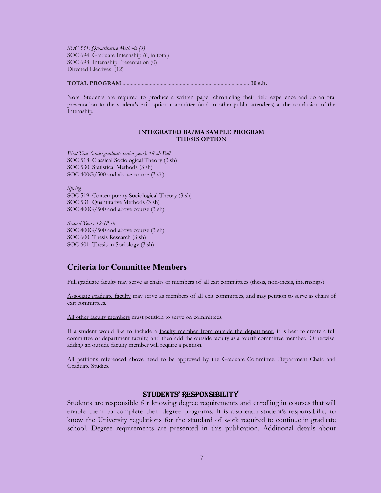*SOC 531: Quantitative Methods (3)* SOC 694: Graduate Internship (6, in total) SOC 698: Internship Presentation (0) Directed Electives (12)

#### **TOTAL PROGRAM** ..............................................................................................**30 s.h.**

Note: Students are required to produce a written paper chronicling their field experience and do an oral presentation to the student's exit option committee (and to other public attendees) at the conclusion of the Internship.

#### **INTEGRATED BA/MA SAMPLE PROGRAM THESIS OPTION**

*First Year (undergraduate senior year): 18 sh Fall* SOC 518: Classical Sociological Theory (3 sh) SOC 530: Statistical Methods (3 sh) SOC 400G/500 and above course (3 sh)

*Spring* SOC 519: Contemporary Sociological Theory (3 sh) SOC 531: Quantitative Methods (3 sh) SOC 400G/500 and above course (3 sh)

*Second Year: 12-18 sh* SOC 400G/500 and above course (3 sh) SOC 600: Thesis Research (3 sh) SOC 601: Thesis in Sociology (3 sh)

## **Criteria for Committee Members**

Full graduate faculty may serve as chairs or members of all exit committees (thesis, non-thesis, internships).

Associate graduate faculty may serve as members of all exit committees, and may petition to serve as chairs of exit committees.

All other faculty members must petition to serve on committees.

If a student would like to include a faculty member from outside the department, it is best to create a full committee of department faculty, and then add the outside faculty as a fourth committee member. Otherwise, adding an outside faculty member will require a petition.

All petitions referenced above need to be approved by the Graduate Committee, Department Chair, and Graduate Studies.

#### Students' Responsibility

Students are responsible for knowing degree requirements and enrolling in courses that will enable them to complete their degree programs. It is also each student's responsibility to know the University regulations for the standard of work required to continue in graduate school. Degree requirements are presented in this publication. Additional details about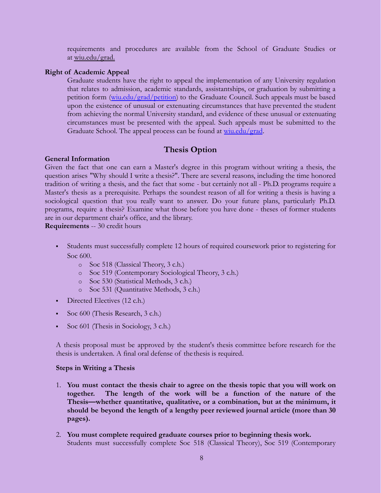requirements and procedures are available from the School of Graduate Studies or at [wiu.edu/grad](http://www.wiu.edu/grad).

#### **Right of Academic Appeal**

Graduate students have the right to appeal the implementation of any University regulation that relates to admission, academic standards, assistantships, or graduation by submitting a petition form ([wiu.edu/grad/petition](http://www.wiu.edu/graduate_studies/current_students/forms/petition.pdf)) to the Graduate Council. Such appeals must be based upon the existence of unusual or extenuating circumstances that have prevented the student from achieving the normal University standard, and evidence of these unusual or extenuating circumstances must be presented with the appeal. Such appeals must be submitted to the Graduate School. The appeal process can be found at [wiu.edu/grad](http://www.wiu.edu/graduate_studies/faculty_and_staff_resources/studentappeal.php).

### **Thesis Option**

#### **General Information**

Given the fact that one can earn a Master's degree in this program without writing a thesis, the question arises "Why should I write a thesis?". There are several reasons, including the time honored tradition of writing a thesis, and the fact that some - but certainly not all - Ph.D. programs require a Master's thesis as a prerequisite. Perhaps the soundest reason of all for writing a thesis is having a sociological question that you really want to answer. Do your future plans, particularly Ph.D. programs, require a thesis? Examine what those before you have done - theses of former students are in our department chair's office, and the library.

**Requirements** -- 30 credit hours

- Students must successfully complete 12 hours of required coursework prior to registering for Soc 600.
	- o Soc 518 (Classical Theory, 3 c.h.)
	- o Soc 519 (Contemporary Sociological Theory, 3 c.h.)
	- o Soc 530 (Statistical Methods, 3 c.h.)
	- o Soc 531 (Quantitative Methods, 3 c.h.)
- Directed Electives (12 c.h.)
- Soc 600 (Thesis Research, 3 c.h.)
- Soc 601 (Thesis in Sociology, 3 c.h.)

A thesis proposal must be approved by the student's thesis committee before research for the thesis is undertaken. A final oral defense of the thesis is required.

#### **Steps in Writing a Thesis**

- 1. **You must contact the thesis chair to agree on the thesis topic that you will work on together. The length of the work will be a function of the nature of the Thesis—whether quantitative, qualitative, or a combination, but at the minimum, it should be beyond the length of a lengthy peer reviewed journal article (more than 30 pages).**
- 2. **You must complete required graduate courses prior to beginning thesis work.** Students must successfully complete Soc 518 (Classical Theory), Soc 519 (Contemporary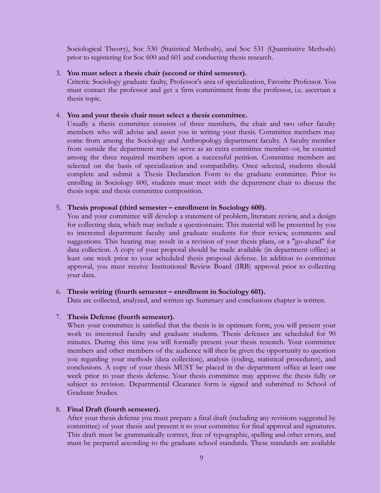Sociological Theory), Soc 530 (Statistical Methods), and Soc 531 (Quantitative Methods) prior to registering for Soc 600 and 601 and conducting thesis research.

#### 3. **You must select a thesis chair (second or third semester).**

Criteria: Sociology graduate faulty, Professor's area of specialization, Favorite Professor. You must contact the professor and get a firm commitment from the professor, i.e. ascertain a thesis topic.

#### 4. **You and your thesis chair must select a thesis committee.**

Usually a thesis committee consists of three members, the chair and two other faculty members who will advise and assist you in writing your thesis. Committee members may come from among the Sociology and Anthropology department faculty. A faculty member from outside the department may be serve as an extra committee member--or, be counted among the three required members upon a successful petition. Committee members are selected on the basis of specialization and compatibility. Once selected, students should complete and submit a Thesis Declaration Form to the graduate committee. Prior to enrolling in Sociology 600, students must meet with the department chair to discuss the thesis topic and thesis committee composition.

#### 5. **Thesis proposal (third semester – enrollment in Sociology 600).**

You and your committee will develop a statement of problem, literature review, and a design for collecting data, which may include a questionnaire. This material will be presented by you to interested department faculty and graduate students for their review, comments and suggestions. This hearing may result in a revision of your thesis plans, or a "go-ahead" for data collection. A copy of your proposal should be made available (in department office) at least one week prior to your scheduled thesis proposal defense. In addition to committee approval, you must receive Institutional Review Board (IRB) approval prior to collecting your data.

#### 6. **Thesis writing (fourth semester – enrollment in Sociology 601).**

Data are collected, analyzed, and written up. Summary and conclusions chapter is written.

#### 7. **Thesis Defense (fourth semester).**

When your committee is satisfied that the thesis is in optimum form, you will present your work to interested faculty and graduate students. Thesis defenses are scheduled for 90 minutes. During this time you will formally present your thesis research. Your committee members and other members of the audience will then be given the opportunity to question you regarding your methods (data collection), analysis (coding, statistical procedures), and conclusions. A copy of your thesis MUST be placed in the department office at least one week prior to your thesis defense. Your thesis committee may approve the thesis fully or subject to revision. Departmental Clearance form is signed and submitted to School of Graduate Studies.

#### 8. **Final Draft (fourth semester).**

After your thesis defense you must prepare a final draft (including any revisions suggested by committee) of your thesis and present it to your committee for final approval and signatures. This draft must be grammatically correct, free of typographic, spelling and other errors, and must be prepared according to the graduate school standards. These standards are available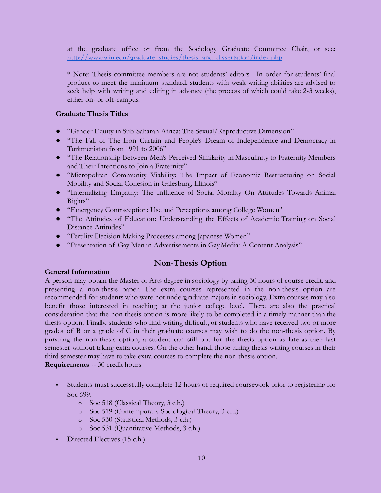at the graduate office or from the Sociology Graduate Committee Chair, or see: [http://www.wiu.edu/graduate\\_studies/thesis\\_and\\_dissertation/index.php](http://www.wiu.edu/graduate_studies/thesis_and_dissertation/index.php)

\* Note: Thesis committee members are not students' editors. In order for students' final product to meet the minimum standard, students with weak writing abilities are advised to seek help with writing and editing in advance (the process of which could take 2-3 weeks), either on- or off-campus.

#### **Graduate Thesis Titles**

- "Gender Equity in Sub-Saharan Africa: The Sexual/Reproductive Dimension"
- "The Fall of The Iron Curtain and People's Dream of Independence and Democracy in Turkmenistan from 1991 to 2006"
- "The Relationship Between Men's Perceived Similarity in Masculinity to Fraternity Members and Their Intentions to Join a Fraternity"
- "Micropolitan Community Viability: The Impact of Economic Restructuring on Social Mobility and Social Cohesion in Galesburg, Illinois"
- "Internalizing Empathy: The Influence of Social Morality On Attitudes Towards Animal Rights"
- "Emergency Contraception: Use and Perceptions among College Women"
- "The Attitudes of Education: Understanding the Effects of Academic Training on Social Distance Attitudes"
- "Fertility Decision-Making Processes among Japanese Women"
- "Presentation of Gay Men in Advertisements in GayMedia: A Content Analysis"

# **Non-Thesis Option**

### **General Information**

A person may obtain the Master of Arts degree in sociology by taking 30 hours of course credit, and presenting a non-thesis paper. The extra courses represented in the non-thesis option are recommended for students who were not undergraduate majors in sociology. Extra courses may also benefit those interested in teaching at the junior college level. There are also the practical consideration that the non-thesis option is more likely to be completed in a timely manner than the thesis option. Finally, students who find writing difficult, or students who have received two or more grades of B or a grade of C in their graduate courses may wish to do the non-thesis option. By pursuing the non-thesis option, a student can still opt for the thesis option as late as their last semester without taking extra courses. On the other hand, those taking thesis writing courses in their third semester may have to take extra courses to complete the non-thesis option.

**Requirements** -- 30 credit hours

- Students must successfully complete 12 hours of required coursework prior to registering for Soc 699.
	- o Soc 518 (Classical Theory, 3 c.h.)
	- o Soc 519 (Contemporary Sociological Theory, 3 c.h.)
	- o Soc 530 (Statistical Methods, 3 c.h.)
	- o Soc 531 (Quantitative Methods, 3 c.h.)
- Directed Electives (15 c.h.)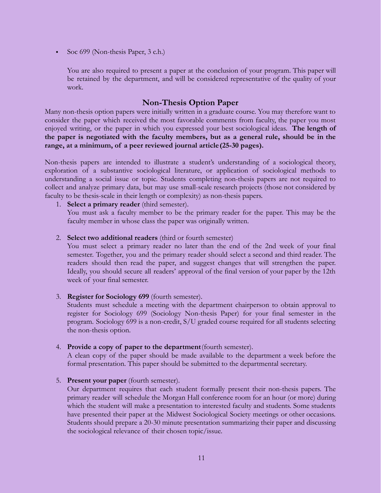Soc 699 (Non-thesis Paper, 3 c.h.)

You are also required to present a paper at the conclusion of your program. This paper will be retained by the department, and will be considered representative of the quality of your work.

# **Non-Thesis Option Paper**

Many non-thesis option papers were initially written in a graduate course. You may therefore want to consider the paper which received the most favorable comments from faculty, the paper you most enjoyed writing, or the paper in which you expressed your best sociological ideas. **The length of the paper is negotiated with the faculty members, but as a general rule, should be in the range, at a minimum, of a peer reviewed journal article(25-30 pages).**

Non-thesis papers are intended to illustrate a student's understanding of a sociological theory, exploration of a substantive sociological literature, or application of sociological methods to understanding a social issue or topic. Students completing non-thesis papers are not required to collect and analyze primary data, but may use small-scale research projects (those not considered by faculty to be thesis-scale in their length or complexity) as non-thesis papers.

1. **Select a primary reader** (third semester).

You must ask a faculty member to be the primary reader for the paper. This may be the faculty member in whose class the paper was originally written.

#### 2. **Select two additional readers** (third or fourth semester)

You must select a primary reader no later than the end of the 2nd week of your final semester. Together, you and the primary reader should select a second and third reader. The readers should then read the paper, and suggest changes that will strengthen the paper. Ideally, you should secure all readers' approval of the final version of your paper by the 12th week of your final semester.

3. **Register for Sociology 699** (fourth semester).

Students must schedule a meeting with the department chairperson to obtain approval to register for Sociology 699 (Sociology Non-thesis Paper) for your final semester in the program. Sociology 699 is a non-credit, S/U graded course required for all students selecting the non-thesis option.

4. **Provide a copy of paper to the department**(fourth semester).

A clean copy of the paper should be made available to the department a week before the formal presentation. This paper should be submitted to the departmental secretary.

5. **Present your paper** (fourth semester).

Our department requires that each student formally present their non-thesis papers. The primary reader will schedule the Morgan Hall conference room for an hour (or more) during which the student will make a presentation to interested faculty and students. Some students have presented their paper at the Midwest Sociological Society meetings or other occasions. Students should prepare a 20-30 minute presentation summarizing their paper and discussing the sociological relevance of their chosen topic/issue.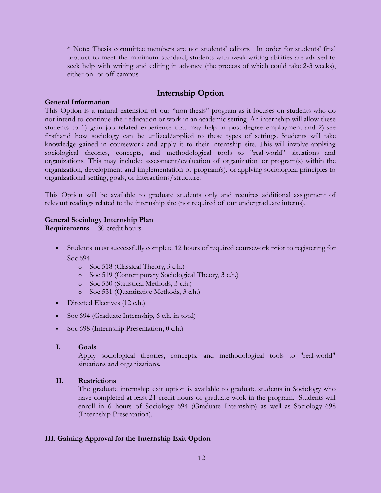\* Note: Thesis committee members are not students' editors. In order for students' final product to meet the minimum standard, students with weak writing abilities are advised to seek help with writing and editing in advance (the process of which could take 2-3 weeks), either on- or off-campus.

### **Internship Option**

#### **General Information**

This Option is a natural extension of our "non-thesis" program as it focuses on students who do not intend to continue their education or work in an academic setting. An internship will allow these students to 1) gain job related experience that may help in post-degree employment and 2) see firsthand how sociology can be utilized/applied to these types of settings. Students will take knowledge gained in coursework and apply it to their internship site. This will involve applying sociological theories, concepts, and methodological tools to "real-world" situations and organizations. This may include: assessment/evaluation of organization or program(s) within the organization, development and implementation of program(s), or applying sociological principles to organizational setting, goals, or interactions/structure.

This Option will be available to graduate students only and requires additional assignment of relevant readings related to the internship site (not required of our undergraduate interns).

#### **General Sociology Internship Plan**

**Requirements** -- 30 credit hours

- Students must successfully complete 12 hours of required coursework prior to registering for Soc 694.
	- o Soc 518 (Classical Theory, 3 c.h.)
	- o Soc 519 (Contemporary Sociological Theory, 3 c.h.)
	- o Soc 530 (Statistical Methods, 3 c.h.)
	- o Soc 531 (Quantitative Methods, 3 c.h.)
- Directed Electives (12 c.h.)
- Soc 694 (Graduate Internship, 6 c.h. in total)
- Soc 698 (Internship Presentation, 0 c.h.)
- **I. Goals**

Apply sociological theories, concepts, and methodological tools to "real-world" situations and organizations.

#### **II. Restrictions**

The graduate internship exit option is available to graduate students in Sociology who have completed at least 21 credit hours of graduate work in the program. Students will enroll in 6 hours of Sociology 694 (Graduate Internship) as well as Sociology 698 (Internship Presentation).

#### **III. Gaining Approval for the Internship Exit Option**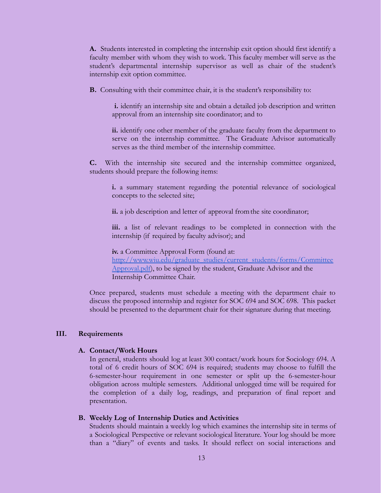**A.** Students interested in completing the internship exit option should first identify a faculty member with whom they wish to work. This faculty member will serve as the student's departmental internship supervisor as well as chair of the student's internship exit option committee.

**B.** Consulting with their committee chair, it is the student's responsibility to:

**i.** identify an internship site and obtain a detailed job description and written approval from an internship site coordinator; and to

**ii.** identify one other member of the graduate faculty from the department to serve on the internship committee. The Graduate Advisor automatically serves as the third member of the internship committee.

**C.** With the internship site secured and the internship committee organized, students should prepare the following items:

**i.** a summary statement regarding the potential relevance of sociological concepts to the selected site;

**ii.** a job description and letter of approval fromthe site coordinator;

**iii.** a list of relevant readings to be completed in connection with the internship (if required by faculty advisor); and

**iv.** a Committee Approval Form (found at: [http://www.wiu.edu/graduate\\_studies/current\\_students/forms/Committee](http://www.wiu.edu/graduate_studies/current_students/forms/CommitteeApproval.pdf) [Approval.pdf\)](http://www.wiu.edu/graduate_studies/current_students/forms/CommitteeApproval.pdf), to be signed by the student, Graduate Advisor and the

Internship Committee Chair.

Once prepared, students must schedule a meeting with the department chair to discuss the proposed internship and register for SOC 694 and SOC 698. This packet should be presented to the department chair for their signature during that meeting.

#### **III. Requirements**

#### **A. Contact/Work Hours**

In general, students should log at least 300 contact/work hours for Sociology 694. A total of 6 credit hours of SOC 694 is required; students may choose to fulfill the 6-semester-hour requirement in one semester or split up the 6-semester-hour obligation across multiple semesters. Additional unlogged time will be required for the completion of a daily log, readings, and preparation of final report and presentation.

#### **B. Weekly Log of Internship Duties and Activities**

Students should maintain a weekly log which examines the internship site in terms of a Sociological Perspective or relevant sociological literature. Your log should be more than a "diary" of events and tasks. It should reflect on social interactions and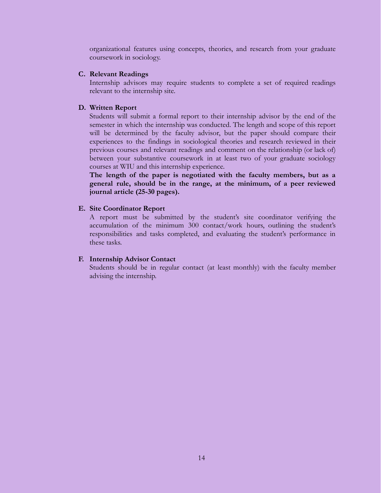organizational features using concepts, theories, and research from your graduate coursework in sociology.

#### **C. Relevant Readings**

Internship advisors may require students to complete a set of required readings relevant to the internship site.

### **D. Written Report**

Students will submit a formal report to their internship advisor by the end of the semester in which the internship was conducted. The length and scope of this report will be determined by the faculty advisor, but the paper should compare their experiences to the findings in sociological theories and research reviewed in their previous courses and relevant readings and comment on the relationship (or lack of) between your substantive coursework in at least two of your graduate sociology courses at WIU and this internship experience.

**The length of the paper is negotiated with the faculty members, but as a general rule, should be in the range, at the minimum, of a peer reviewed journal article (25-30 pages).**

### **E. Site Coordinator Report**

A report must be submitted by the student's site coordinator verifying the accumulation of the minimum 300 contact/work hours, outlining the student's responsibilities and tasks completed, and evaluating the student's performance in these tasks.

### **F. Internship Advisor Contact**

Students should be in regular contact (at least monthly) with the faculty member advising the internship.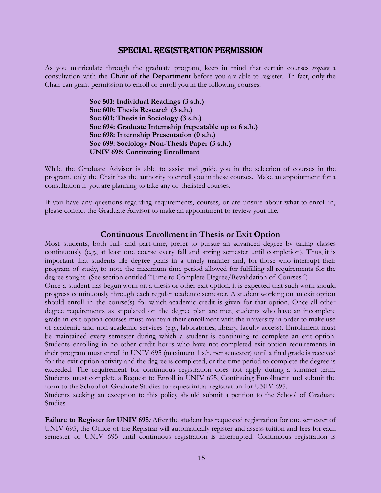#### Special Registration Permission

As you matriculate through the graduate program, keep in mind that certain courses *require* a consultation with the **Chair of the Department** before you are able to register. In fact, only the Chair can grant permission to enroll or enroll you in the following courses:

> **Soc 501: Individual Readings (3 s.h.) Soc 600: Thesis Research (3 s.h.) Soc 601: Thesis in Sociology (3 s.h.) Soc 694: Graduate Internship (repeatable up to 6 s.h.) Soc 698: Internship Presentation (0 s.h.) Soc 699: Sociology Non-Thesis Paper (3 s.h.) UNIV 695: Continuing Enrollment**

While the Graduate Advisor is able to assist and guide you in the selection of courses in the program, only the Chair has the authority to enroll you in these courses. Make an appointment for a consultation if you are planning to take any of thelisted courses.

If you have any questions regarding requirements, courses, or are unsure about what to enroll in, please contact the Graduate Advisor to make an appointment to review your file.

#### **Continuous Enrollment in Thesis or Exit Option**

Most students, both full- and part-time, prefer to pursue an advanced degree by taking classes continuously (e.g., at least one course every fall and spring semester until completion). Thus, it is important that students file degree plans in a timely manner and, for those who interrupt their program of study, to note the maximum time period allowed for fulfilling all requirements for the degree sought. (See section entitled "Time to Complete Degree/Revalidation of Courses.") Once a student has begun work on a thesis or other exit option, it is expected that such work should progress continuously through each regular academic semester. A student working on an exit option should enroll in the course(s) for which academic credit is given for that option. Once all other degree requirements as stipulated on the degree plan are met, students who have an incomplete grade in exit option courses must maintain their enrollment with the university in order to make use of academic and non-academic services (e.g., laboratories, library, faculty access). Enrollment must be maintained every semester during which a student is continuing to complete an exit option. Students enrolling in no other credit hours who have not completed exit option requirements in their program must enroll in UNIV 695 (maximum 1 s.h. per semester) until a final grade is received for the exit option activity and the degree is completed, or the time period to complete the degree is exceeded. The requirement for continuous registration does not apply during a summer term. Students must complete a Request to Enroll in UNIV 695, Continuing Enrollment and submit the form to the School of Graduate Studies to requestinitial registration for UNIV 695.

Students seeking an exception to this policy should submit a petition to the School of Graduate Studies.

**Failure to Register for UNIV 695***:* After the student has requested registration for one semester of UNIV 695, the Office of the Registrar will automatically register and assess tuition and fees for each semester of UNIV 695 until continuous registration is interrupted. Continuous registration is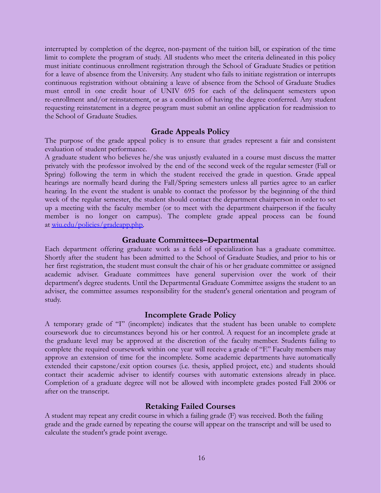interrupted by completion of the degree, non-payment of the tuition bill, or expiration of the time limit to complete the program of study. All students who meet the criteria delineated in this policy must initiate continuous enrollment registration through the School of Graduate Studies or petition for a leave of absence from the University. Any student who fails to initiate registration or interrupts continuous registration without obtaining a leave of absence from the School of Graduate Studies must enroll in one credit hour of UNIV 695 for each of the delinquent semesters upon re-enrollment and/or reinstatement, or as a condition of having the degree conferred. Any student requesting reinstatement in a degree program must submit an online application for readmission to the School of Graduate Studies.

#### **Grade Appeals Policy**

The purpose of the grade appeal policy is to ensure that grades represent a fair and consistent evaluation of student performance.

A graduate student who believes he/she was unjustly evaluated in a course must discuss the matter privately with the professor involved by the end of the second week of the regular semester (Fall or Spring) following the term in which the student received the grade in question. Grade appeal hearings are normally heard during the Fall/Spring semesters unless all parties agree to an earlier hearing. In the event the student is unable to contact the professor by the beginning of the third week of the regular semester, the student should contact the department chairperson in order to set up a meeting with the faculty member (or to meet with the department chairperson if the faculty member is no longer on campus). The complete grade appeal process can be found at [wiu.edu/policies/gradeapp.php.](http://www.wiu.edu/policies/gradeapp.php)

#### **Graduate Committees–Departmental**

Each department offering graduate work as a field of specialization has a graduate committee. Shortly after the student has been admitted to the School of Graduate Studies, and prior to his or her first registration, the student must consult the chair of his or her graduate committee or assigned academic adviser. Graduate committees have general supervision over the work of their department's degree students. Until the Departmental Graduate Committee assigns the student to an adviser, the committee assumes responsibility for the student's general orientation and program of study.

#### **Incomplete Grade Policy**

A temporary grade of "I" (incomplete) indicates that the student has been unable to complete coursework due to circumstances beyond his or her control. A request for an incomplete grade at the graduate level may be approved at the discretion of the faculty member. Students failing to complete the required coursework within one year will receive a grade of "F." Faculty members may approve an extension of time for the incomplete. Some academic departments have automatically extended their capstone/exit option courses (i.e. thesis, applied project, etc.) and students should contact their academic adviser to identify courses with automatic extensions already in place. Completion of a graduate degree will not be allowed with incomplete grades posted Fall 2006 or after on the transcript.

#### **Retaking Failed Courses**

A student may repeat any credit course in which a failing grade (F) was received. Both the failing grade and the grade earned by repeating the course will appear on the transcript and will be used to calculate the student's grade point average.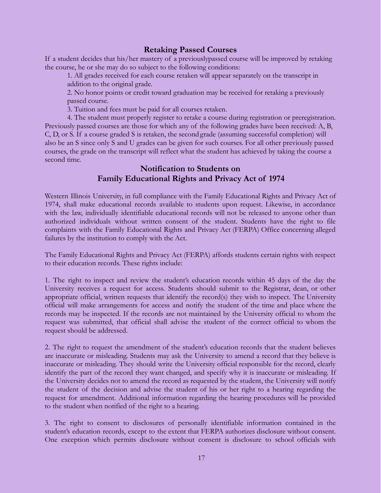# **Retaking Passed Courses**

If a student decides that his/her mastery of a previouslypassed course will be improved by retaking the course, he or she may do so subject to the following conditions:

1. All grades received for each course retaken will appear separately on the transcript in addition to the original grade.

2. No honor points or credit toward graduation may be received for retaking a previously passed course.

3. Tuition and fees must be paid for all courses retaken.

4. The student must properly register to retake a course during registration or preregistration. Previously passed courses are those for which any of the following grades have been received: A, B, C, D, or S. If a course graded S is retaken, the secondgrade (assuming successful completion) will also be an S since only S and U grades can be given for such courses. For all other previously passed courses, the grade on the transcript will reflect what the student has achieved by taking the course a second time.

# **Notification to Students on Family Educational Rights and Privacy Act of 1974**

Western Illinois University, in full compliance with the Family Educational Rights and Privacy Act of 1974, shall make educational records available to students upon request. Likewise, in accordance with the law, individually identifiable educational records will not be released to anyone other than authorized individuals without written consent of the student. Students have the right to file complaints with the Family Educational Rights and Privacy Act (FERPA) Office concerning alleged failures by the institution to comply with the Act.

The Family Educational Rights and Privacy Act (FERPA) affords students certain rights with respect to their education records. These rights include:

1. The right to inspect and review the student's education records within 45 days of the day the University receives a request for access. Students should submit to the Registrar, dean, or other appropriate official, written requests that identify the record(s) they wish to inspect. The University official will make arrangements for access and notify the student of the time and place where the records may be inspected. If the records are not maintained by the University official to whom the request was submitted, that official shall advise the student of the correct official to whom the request should be addressed.

2. The right to request the amendment of the student's education records that the student believes are inaccurate or misleading. Students may ask the University to amend a record that they believe is inaccurate or misleading. They should write the University official responsible for the record, clearly identify the part of the record they want changed, and specify why it is inaccurate or misleading. If the University decides not to amend the record as requested by the student, the University will notify the student of the decision and advise the student of his or her right to a hearing regarding the request for amendment. Additional information regarding the hearing procedures will be provided to the student when notified of the right to a hearing.

3. The right to consent to disclosures of personally identifiable information contained in the student's education records, except to the extent that FERPA authorizes disclosure without consent. One exception which permits disclosure without consent is disclosure to school officials with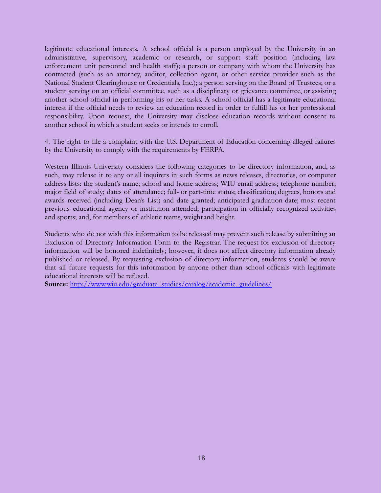legitimate educational interests. A school official is a person employed by the University in an administrative, supervisory, academic or research, or support staff position (including law enforcement unit personnel and health staff); a person or company with whom the University has contracted (such as an attorney, auditor, collection agent, or other service provider such as the National Student Clearinghouse or Credentials, Inc.); a person serving on the Board of Trustees; or a student serving on an official committee, such as a disciplinary or grievance committee, or assisting another school official in performing his or her tasks. A school official has a legitimate educational interest if the official needs to review an education record in order to fulfill his or her professional responsibility. Upon request, the University may disclose education records without consent to another school in which a student seeks or intends to enroll.

4. The right to file a complaint with the U.S. Department of Education concerning alleged failures by the University to comply with the requirements by FERPA.

Western Illinois University considers the following categories to be directory information, and, as such, may release it to any or all inquirers in such forms as news releases, directories, or computer address lists: the student's name; school and home address; WIU email address; telephone number; major field of study; dates of attendance; full- or part-time status; classification; degrees, honors and awards received (including Dean's List) and date granted; anticipated graduation date; most recent previous educational agency or institution attended; participation in officially recognized activities and sports; and, for members of athletic teams, weight and height.

Students who do not wish this information to be released may prevent such release by submitting an Exclusion of Directory Information Form to the Registrar. The request for exclusion of directory information will be honored indefinitely; however, it does not affect directory information already published or released. By requesting exclusion of directory information, students should be aware that all future requests for this information by anyone other than school officials with legitimate educational interests will be refused.

**Source:** [http://www.wiu.edu/graduate\\_studies/catalog/academic\\_guidelines/](http://www.wiu.edu/graduate_studies/catalog/academic_guidelines/)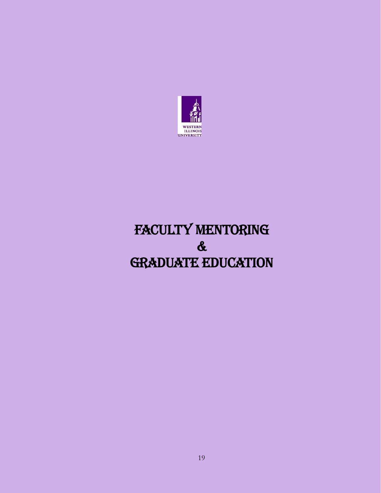

# FACULTY MENTORING & GRADUATE EDUCATION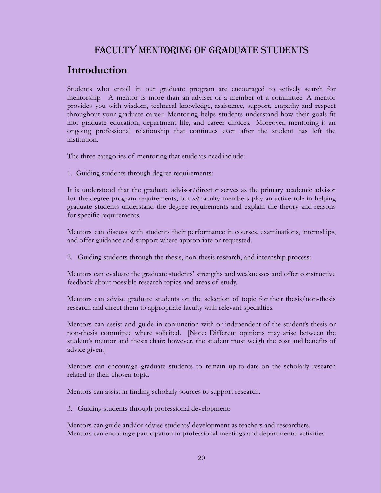# Faculty Mentoring of Graduate Students

# **Introduction**

Students who enroll in our graduate program are encouraged to actively search for mentorship. A mentor is more than an adviser or a member of a committee. A mentor provides you with wisdom, technical knowledge, assistance, support, empathy and respect throughout your graduate career. Mentoring helps students understand how their goals fit into graduate education, department life, and career choices. Moreover, mentoring is an ongoing professional relationship that continues even after the student has left the institution.

The three categories of mentoring that students need include:

### 1. Guiding students through degree requirements:

It is understood that the graduate advisor/director serves as the primary academic advisor for the degree program requirements, but *all* faculty members play an active role in helping graduate students understand the degree requirements and explain the theory and reasons for specific requirements.

Mentors can discuss with students their performance in courses, examinations, internships, and offer guidance and support where appropriate or requested.

### 2. Guiding students through the thesis, non-thesis research, and internship process:

Mentors can evaluate the graduate students' strengths and weaknesses and offer constructive feedback about possible research topics and areas of study.

Mentors can advise graduate students on the selection of topic for their thesis/non-thesis research and direct them to appropriate faculty with relevant specialties.

Mentors can assist and guide in conjunction with or independent of the student's thesis or non-thesis committee where solicited. [Note: Different opinions may arise between the student's mentor and thesis chair; however, the student must weigh the cost and benefits of advice given.]

Mentors can encourage graduate students to remain up-to-date on the scholarly research related to their chosen topic.

Mentors can assist in finding scholarly sources to support research.

3. Guiding students through professional development:

Mentors can guide and/or advise students' development as teachers and researchers. Mentors can encourage participation in professional meetings and departmental activities.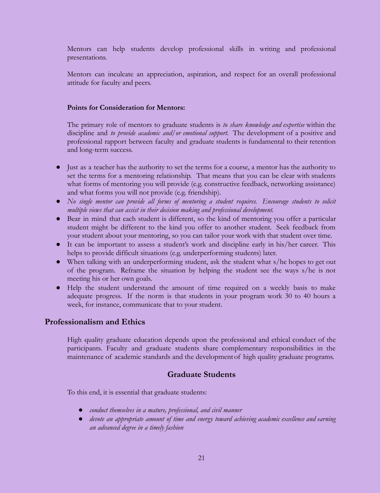Mentors can help students develop professional skills in writing and professional presentations.

Mentors can inculcate an appreciation, aspiration, and respect for an overall professional attitude for faculty and peers.

#### **Points for Consideration for Mentors:**

The primary role of mentors to graduate students is *to share knowledge and expertise* within the discipline and *to provide academic and/or emotional support*. The development of a positive and professional rapport between faculty and graduate students is fundamental to their retention and long-term success.

- Just as a teacher has the authority to set the terms for a course, a mentor has the authority to set the terms for a mentoring relationship. That means that you can be clear with students what forms of mentoring you will provide (e.g. constructive feedback, networking assistance) and what forms you will not provide (e.g. friendship).
- *● No single mentor can provide all forms of mentoring a student requires. Encourage students to solicit multiple views that can assist in their decision making and professional development.*
- Bear in mind that each student is different, so the kind of mentoring you offer a particular student might be different to the kind you offer to another student. Seek feedback from your student about your mentoring, so you can tailor your work with that student over time.
- It can be important to assess a student's work and discipline early in his/her career. This helps to provide difficult situations (e.g. underperforming students) later.
- When talking with an underperforming student, ask the student what s/he hopes to get out of the program. Reframe the situation by helping the student see the ways s/he is not meeting his or her own goals.
- Help the student understand the amount of time required on a weekly basis to make adequate progress. If the norm is that students in your program work 30 to 40 hours a week, for instance, communicate that to your student.

### **Professionalism and Ethics**

High quality graduate education depends upon the professional and ethical conduct of the participants. Faculty and graduate students share complementary responsibilities in the maintenance of academic standards and the developmentof high quality graduate programs.

## **Graduate Students**

To this end, it is essential that graduate students:

- *● conduct themselves in a mature, professional, and civil manner*
- *● devote an appropriate amount of time and energy toward achieving academic excellence and earning an advanced degree in a timely fashion*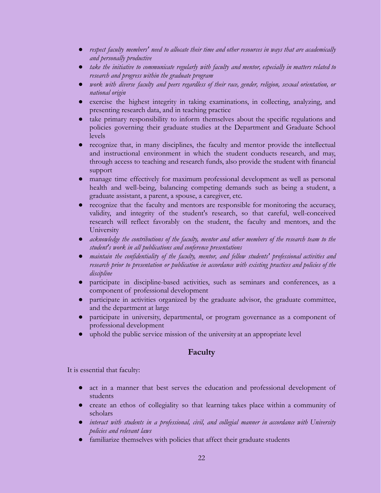- *● respect faculty members' need to allocate their time and other resources in ways that are academically and personally productive*
- *● take the initiative to communicate regularly with faculty and mentor, especially in matters related to research and progress within the graduate program*
- *● work with diverse faculty and peers regardless of their race, gender, religion, sexual orientation, or national origin*
- exercise the highest integrity in taking examinations, in collecting, analyzing, and presenting research data, and in teaching practice
- take primary responsibility to inform themselves about the specific regulations and policies governing their graduate studies at the Department and Graduate School levels
- recognize that, in many disciplines, the faculty and mentor provide the intellectual and instructional environment in which the student conducts research, and may, through access to teaching and research funds, also provide the student with financial support
- manage time effectively for maximum professional development as well as personal health and well-being, balancing competing demands such as being a student, a graduate assistant, a parent, a spouse, a caregiver, etc.
- recognize that the faculty and mentors are responsible for monitoring the accuracy, validity, and integrity of the student's research, so that careful, well-conceived research will reflect favorably on the student, the faculty and mentors, and the University
- *● acknowledge the contributions of the faculty, mentor and other members of the research team to the student's work in all publications and conference presentations*
- *● maintain the confidentiality of the faculty, mentor, and fellow students' professional activities and research prior to presentation or publication in accordance with existing practices and policies of the discipline*
- participate in discipline-based activities, such as seminars and conferences, as a component of professional development
- participate in activities organized by the graduate advisor, the graduate committee, and the department at large
- participate in university, departmental, or program governance as a component of professional development
- uphold the public service mission of the university at an appropriate level

# **Faculty**

It is essential that faculty:

- act in a manner that best serves the education and professional development of students
- create an ethos of collegiality so that learning takes place within a community of scholars
- *interact with students in a professional, civil, and collegial manner in accordance with University policies and relevant laws*
- familiarize themselves with policies that affect their graduate students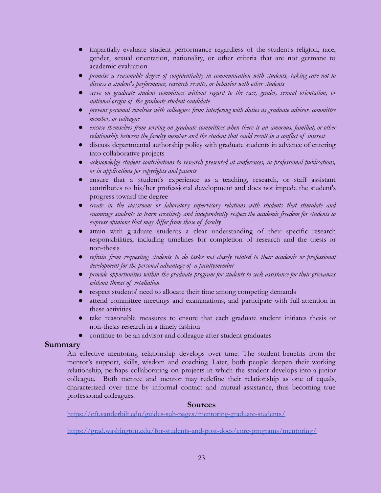- impartially evaluate student performance regardless of the student's religion, race, gender, sexual orientation, nationality, or other criteria that are not germane to academic evaluation
- *● promise a reasonable degree of confidentiality in communication with students, taking care not to discuss a student's performance, research results, or behavior with other students*
- *● serve on graduate student committees without regard to the race, gender, sexual orientation, or national origin of the graduate student candidate*
- *● prevent personal rivalries with colleagues from interfering with duties as graduate advisor, committee member, or colleague*
- *● excuse themselves from serving on graduate committees when there is an amorous, familial, or other relationship between the faculty member and the student that could result in a conflict of interest*
- discuss departmental authorship policy with graduate students in advance of entering into collaborative projects
- *● acknowledge student contributions to research presented at conferences, in professional publications, or in applications for copyrights and patents*
- ensure that a student's experience as a teaching, research, or staff assistant contributes to his/her professional development and does not impede the student's progress toward the degree
- *● create in the classroom or laboratory supervisory relations with students that stimulate and encourage students to learn creatively and independently respect the academic freedom for students to express opinions that may differ from those of faculty*
- attain with graduate students a clear understanding of their specific research responsibilities, including timelines for completion of research and the thesis or non-thesis
- *● refrain from requesting students to do tasks not closely related to their academic or professional development for the personal advantage of a facultymember*
- *● provide opportunities within the graduate program for students to seek assistance for their grievances without threat of retaliation*
- respect students' need to allocate their time among competing demands
- attend committee meetings and examinations, and participate with full attention in these activities
- take reasonable measures to ensure that each graduate student initiates thesis or non-thesis research in a timely fashion
- continue to be an advisor and colleague after student graduates

## **Summary**

An effective mentoring relationship develops over time. The student benefits from the mentor's support, skills, wisdom and coaching. Later, both people deepen their working relationship, perhaps collaborating on projects in which the student develops into a junior colleague. Both mentee and mentor may redefine their relationship as one of equals, characterized over time by informal contact and mutual assistance, thus becoming true professional colleagues.

### **Sources**

<https://cft.vanderbilt.edu/guides-sub-pages/mentoring-graduate-students/>

<https://grad.washington.edu/for-students-and-post-docs/core-programs/mentoring/>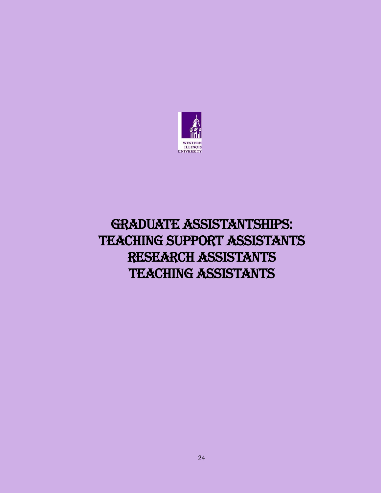

# GRADUATE ASSISTANTSHIPS: TEACHING SUPPORT ASSISTANTS RESEARCH ASSISTANTS TEACHING ASSISTANTS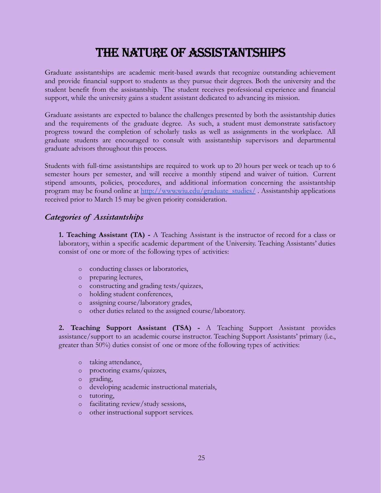# The Nature of Assistantships

Graduate assistantships are academic merit-based awards that recognize outstanding achievement and provide financial support to students as they pursue their degrees. Both the university and the student benefit from the assistantship. The student receives professional experience and financial support, while the university gains a student assistant dedicated to advancing its mission.

Graduate assistants are expected to balance the challenges presented by both the assistantship duties and the requirements of the graduate degree. As such, a student must demonstrate satisfactory progress toward the completion of scholarly tasks as well as assignments in the workplace. All graduate students are encouraged to consult with assistantship supervisors and departmental graduate advisors throughout this process.

Students with full-time assistantships are required to work up to 20 hours per week or teach up to 6 semester hours per semester, and will receive a monthly stipend and waiver of tuition. Current stipend amounts, policies, procedures, and additional information concerning the assistantship program may be found online at [http://www.wiu.edu/graduate\\_studies/](http://www.wiu.edu/graduate_studies/) . Assistantship applications received prior to March 15 may be given priority consideration.

## *Categories of Assistantships*

**1. Teaching Assistant (TA) -** A Teaching Assistant is the instructor of record for a class or laboratory, within a specific academic department of the University. Teaching Assistants' duties consist of one or more of the following types of activities:

- o conducting classes or laboratories,
- o preparing lectures,
- o constructing and grading tests/quizzes,
- o holding student conferences,
- o assigning course/laboratory grades,
- o other duties related to the assigned course/laboratory.

**2. Teaching Support Assistant (TSA) -** A Teaching Support Assistant provides assistance/support to an academic course instructor. Teaching Support Assistants' primary (i.e., greater than 50%) duties consist of one or more ofthe following types of activities:

- o taking attendance,
- o proctoring exams/quizzes,
- o grading,
- o developing academic instructional materials,
- o tutoring,
- o facilitating review/study sessions,
- o other instructional support services.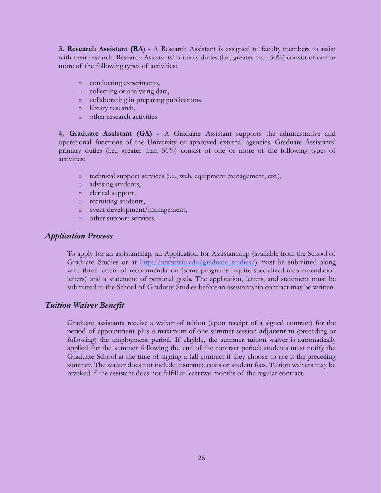**3. Research Assistant (RA**) - A Research Assistant is assigned to faculty members to assist with their research. Research Assistants' primary duties (i.e., greater than 50%) consist of one or more of the following types of activities:

- o conducting experiments,
- o collecting or analyzing data,
- o collaborating in preparing publications,
- o library research,
- o other research activities

**4. Graduate Assistant (GA) -** A Graduate Assistant supports the administrative and operational functions of the University or approved external agencies. Graduate Assistants' primary duties (i.e., greater than 50%) consist of one or more of the following types of activities:

- o technical support services (i.e., web, equipment management, etc.),
- o advising students,
- o clerical support,
- o recruiting students,
- o event development/management,
- o other support services.

### *Application Process*

To apply for an assistantship, an Application for Assistantship (available from the School of Graduate Studies or at [http://www.wiu.edu/graduate\\_studies/\)](http://www.wiu.edu/graduate_studies/) must be submitted along with three letters of recommendation (some programs require specialized recommendation letters) and a statement of personal goals. The application, letters, and statement must be submitted to the School of Graduate Studies before an assistantship contract may be written.

## *Tuition Waiver Benefit*

Graduate assistants receive a waiver of tuition (upon receipt of a signed contract) for the period of appointment plus a maximum of one summer session **adjacent to** (preceding or following) the employment period. If eligible, the summer tuition waiver is automatically applied for the summer following the end of the contract period; students must notify the Graduate School at the time of signing a fall contract if they choose to use it the preceding summer. The waiver does not include insurance costs or student fees. Tuition waivers may be revoked if the assistant does not fulfill at leasttwo months of the regular contract.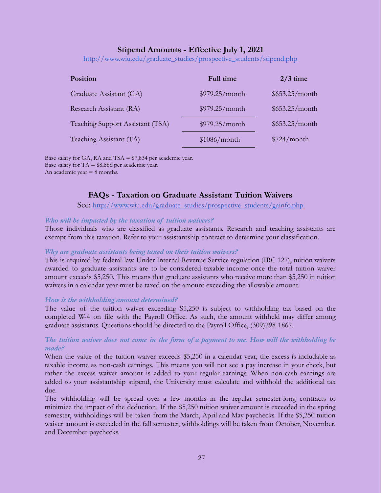## **Stipend Amounts - Effective July 1, 2021**

[http://www.wiu.edu/graduate\\_studies/prospective\\_students/stipend.php](http://www.wiu.edu/graduate_studies/prospective_students/stipend.php)

| <b>Position</b>                  | Full time      | $2/3$ time     |
|----------------------------------|----------------|----------------|
| Graduate Assistant (GA)          | \$979.25/month | \$653.25/month |
| Research Assistant (RA)          | \$979.25/month | \$653.25/month |
| Teaching Support Assistant (TSA) | \$979.25/month | \$653.25/month |
| Teaching Assistant (TA)          | \$1086/month   | \$724/month    |

Base salary for GA, RA and TSA  $= $7,834$  per academic year. Base salary for  $TA = $8,688$  per academic year. An academic year  $= 8$  months.

## **FAQs - Taxation on Graduate Assistant Tuition Waivers**

See: [http://www.wiu.edu/graduate\\_studies/prospective\\_students/gainfo.php](http://www.wiu.edu/graduate_studies/prospective_students/gainfo.php)

#### *Who will be impacted by the taxation of tuition waivers?*

Those individuals who are classified as graduate assistants. Research and teaching assistants are exempt from this taxation. Refer to your assistantship contract to determine your classification.

#### *Why are graduate assistants being taxed on their tuition waivers?*

This is required by federal law. Under Internal Revenue Service regulation (IRC 127), tuition waivers awarded to graduate assistants are to be considered taxable income once the total tuition waiver amount exceeds \$5,250. This means that graduate assistants who receive more than \$5,250 in tuition waivers in a calendar year must be taxed on the amount exceeding the allowable amount.

#### *How is the withholding amount determined?*

The value of the tuition waiver exceeding \$5,250 is subject to withholding tax based on the completed W-4 on file with the Payroll Office. As such, the amount withheld may differ among graduate assistants. Questions should be directed to the Payroll Office, (309)298-1867.

#### The tuition waiver does not come in the form of a payment to me. How will the withholding be *made?*

When the value of the tuition waiver exceeds \$5,250 in a calendar year, the excess is includable as taxable income as non-cash earnings. This means you will not see a pay increase in your check, but rather the excess waiver amount is added to your regular earnings. When non-cash earnings are added to your assistantship stipend, the University must calculate and withhold the additional tax due.

The withholding will be spread over a few months in the regular semester-long contracts to minimize the impact of the deduction. If the \$5,250 tuition waiver amount is exceeded in the spring semester, withholdings will be taken from the March, April and May paychecks. If the \$5,250 tuition waiver amount is exceeded in the fall semester, withholdings will be taken from October, November, and December paychecks.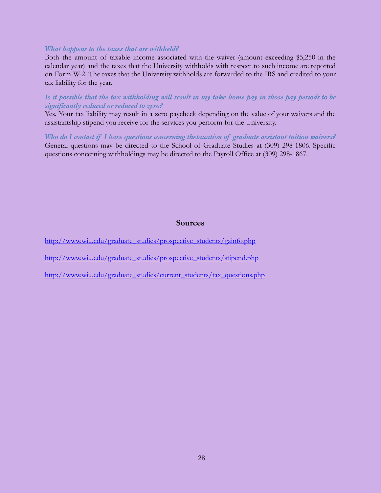#### *What happens to the taxes that are withheld?*

Both the amount of taxable income associated with the waiver (amount exceeding \$5,250 in the calendar year) and the taxes that the University withholds with respect to such income are reported on Form W-2. The taxes that the University withholds are forwarded to the IRS and credited to your tax liability for the year.

#### Is it possible that the tax withholding will result in my take home pay in those pay periods to be *significantly reduced or reduced to zero?*

Yes. Your tax liability may result in a zero paycheck depending on the value of your waivers and the assistantship stipend you receive for the services you perform for the University.

*Who do I contact if I have questions concerning thetaxation of graduate assistant tuition waivers?* General questions may be directed to the School of Graduate Studies at (309) 298-1806. Specific questions concerning withholdings may be directed to the Payroll Office at (309) 298-1867.

#### **Sources**

[http://www.wiu.edu/graduate\\_studies/prospective\\_students/gainfo.php](http://www.wiu.edu/graduate_studies/prospective_students/gainfo.php)

[http://www.wiu.edu/graduate\\_studies/prospective\\_students/stipend.php](http://www.wiu.edu/graduate_studies/prospective_students/stipend.php)

[http://www.wiu.edu/graduate\\_studies/current\\_students/tax\\_questions.php](http://www.wiu.edu/graduate_studies/current_students/tax_questions.php)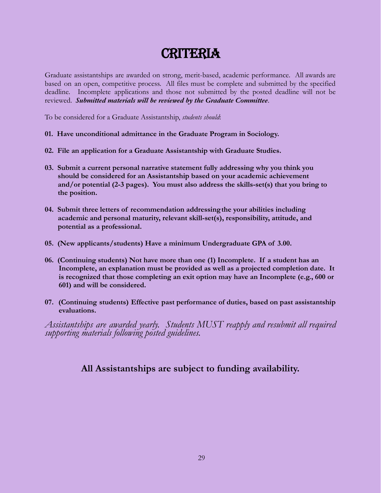# **CRITERIA**

Graduate assistantships are awarded on strong, merit-based, academic performance. All awards are based on an open, competitive process. All files must be complete and submitted by the specified deadline. Incomplete applications and those not submitted by the posted deadline will not be reviewed. *Submitted materials will be reviewed by the Graduate Committee*.

To be considered for a Graduate Assistantship, *students should*:

- **01. Have unconditional admittance in the Graduate Program in Sociology.**
- **02. File an application for a Graduate Assistantship with Graduate Studies.**
- **03. Submit a current personal narrative statement fully addressing why you think you should be considered for an Assistantship based on your academic achievement and/or potential (2-3 pages). You must also address the skills-set(s) that you bring to the position.**
- **04. Submit three letters of recommendation addressingthe your abilities including academic and personal maturity, relevant skill-set(s), responsibility, attitude, and potential as a professional.**
- **05. (New applicants/students) Have a minimum Undergraduate GPA of 3.00.**
- **06. (Continuing students) Not have more than one (1) Incomplete. If a student has an Incomplete, an explanation must be provided as well as a projected completion date. It is recognized that those completing an exit option may have an Incomplete (e.g., 600 or 601) and will be considered.**
- **07. (Continuing students) Effective past performance of duties, based on past assistantship evaluations.**

*Assistantships are awarded yearly. Students MUST reapply and resubmit all required supporting materials following posted guidelines.*

# **All Assistantships are subject to funding availability.**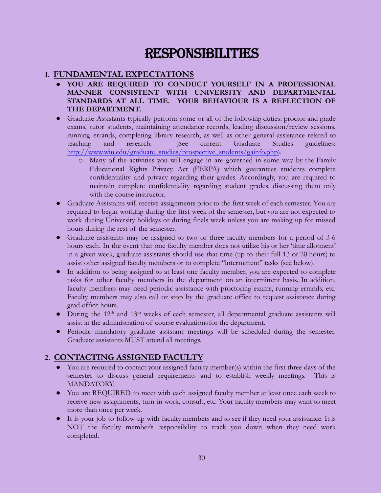# RESPONSIBILITIES

# **1. FUNDAMENTAL EXPECTATIONS**

- **● YOU ARE REQUIRED TO CONDUCT YOURSELF IN A PROFESSIONAL MANNER CONSISTENT WITH UNIVERSITY AND DEPARTMENTAL STANDARDS AT ALL TIME. YOUR BEHAVIOUR IS A REFLECTION OF THE DEPARTMENT.**
- Graduate Assistants typically perform some or all of the following duties: proctor and grade exams, tutor students, maintaining attendance records, leading discussion/review sessions, running errands, completing library research, as well as other general assistance related to teaching and research. (See current Graduate Studies guidelines: [http://www.wiu.edu/graduate\\_studies/prospective\\_students/gainfo.php\)](http://www.wiu.edu/graduate_studies/prospective_students/gainfo.php).
	- o Many of the activities you will engage in are governed in some way by the Family Educational Rights Privacy Act (FERPA) which guarantees students complete confidentiality and privacy regarding their grades. Accordingly, you are required to maintain complete confidentiality regarding student grades, discussing them only with the course instructor.
- Graduate Assistants will receive assignments prior to the first week of each semester. You are required to begin working during the first week of the semester, but you are not expected to work during University holidays or during finals week unless you are making up for missed hours during the rest of the semester.
- Graduate assistants may be assigned to two or three faculty members for a period of 3-6 hours each. In the event that one faculty member does not utilize his or her 'time allotment' in a given week, graduate assistants should use that time (up to their full 13 or 20 hours) to assist other assigned faculty members or to complete "intermittent" tasks (see below).
- In addition to being assigned to at least one faculty member, you are expected to complete tasks for other faculty members in the department on an intermittent basis. In addition, faculty members may need periodic assistance with proctoring exams, running errands, etc. Faculty members may also call or stop by the graduate office to request assistance during grad office hours.
- $\bullet$  During the 12<sup>th</sup> and 13<sup>th</sup> weeks of each semester, all departmental graduate assistants will assist in the administration of course evaluationsfor the department.
- Periodic mandatory graduate assistant meetings will be scheduled during the semester. Graduate assistants MUST attend all meetings.

# **2. CONTACTING ASSIGNED FACULTY**

- You are required to contact your assigned faculty member(s) within the first three days of the semester to discuss general requirements and to establish weekly meetings. This is MANDATORY.
- You are REQUIRED to meet with each assigned faculty member at least once each week to receive new assignments, turn in work, consult, etc. Your faculty members may want to meet more than once per week.
- It is your job to follow up with faculty members and to see if they need your assistance. It is NOT the faculty member's responsibility to track you down when they need work completed.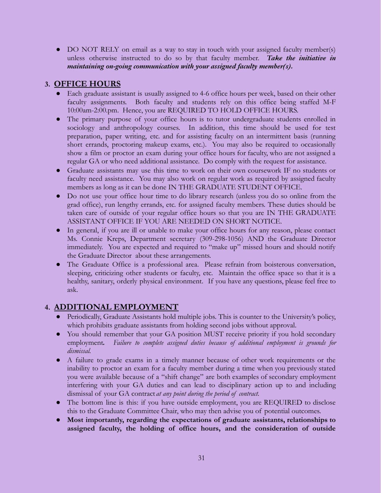• DO NOT RELY on email as a way to stay in touch with your assigned faculty member(s) unless otherwise instructed to do so by that faculty member. *Take the initiative in maintaining on-going communication with your assigned faculty member(s).*

# **3. OFFICE HOURS**

- Each graduate assistant is usually assigned to 4-6 office hours per week, based on their other faculty assignments. Both faculty and students rely on this office being staffed M-F 10:00am-2:00.pm. Hence, you are REQUIRED TO HOLD OFFICE HOURS.
- The primary purpose of your office hours is to tutor undergraduate students enrolled in sociology and anthropology courses. In addition, this time should be used for test preparation, paper writing, etc. and for assisting faculty on an intermittent basis (running short errands, proctoring makeup exams, etc.). You may also be required to occasionally show a film or proctor an exam during your office hours for faculty, who are not assigned a regular GA or who need additional assistance. Do comply with the request for assistance.
- Graduate assistants may use this time to work on their own coursework IF no students or faculty need assistance. You may also work on regular work as required by assigned faculty members as long as it can be done IN THE GRADUATE STUDENT OFFICE.
- Do not use your office hour time to do library research (unless you do so online from the grad office), run lengthy errands, etc. for assigned faculty members. These duties should be taken care of outside of your regular office hours so that you are IN THE GRADUATE ASSISTANT OFFICE IF YOU ARE NEEDED ON SHORT NOTICE.
- In general, if you are ill or unable to make your office hours for any reason, please contact Ms. Connie Kreps, Department secretary (309-298-1056) AND the Graduate Director immediately. You are expected and required to "make up" missed hours and should notify the Graduate Director about these arrangements.
- The Graduate Office is a professional area. Please refrain from boisterous conversation, sleeping, criticizing other students or faculty, etc. Maintain the office space so that it is a healthy, sanitary, orderly physical environment. If you have any questions, please feel free to ask.

# **4. ADDITIONAL EMPLOYMENT**

- Periodically, Graduate Assistants hold multiple jobs. This is counter to the University's policy, which prohibits graduate assistants from holding second jobs without approval.
- You should remember that your GA position MUST receive priority if you hold secondary employment*. Failure to complete assigned duties because of additional employment is grounds for dismissal.*
- A failure to grade exams in a timely manner because of other work requirements or the inability to proctor an exam for a faculty member during a time when you previously stated you were available because of a "shift change" are both examples of secondary employment interfering with your GA duties and can lead to disciplinary action up to and including dismissal of your GA contract *at any point during the period of contract.*
- The bottom line is this: if you have outside employment, you are REQUIRED to disclose this to the Graduate Committee Chair, who may then advise you of potential outcomes.
- **● Most importantly, regarding the expectations of graduate assistants, relationships to assigned faculty, the holding of office hours, and the consideration of outside**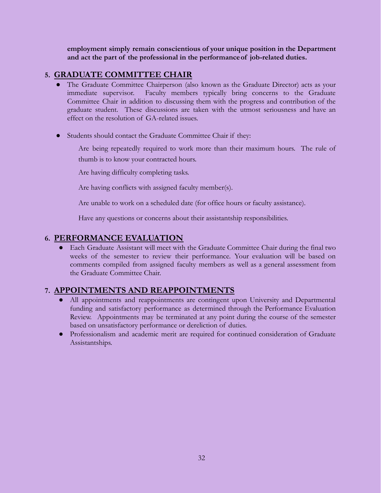**employment simply remain conscientious of your unique position in the Department and act the part of the professional in the performanceof job-related duties.**

# **5. GRADUATE COMMITTEE CHAIR**

- The Graduate Committee Chairperson (also known as the Graduate Director) acts as your immediate supervisor. Faculty members typically bring concerns to the Graduate Committee Chair in addition to discussing them with the progress and contribution of the graduate student. These discussions are taken with the utmost seriousness and have an effect on the resolution of GA-related issues.
- Students should contact the Graduate Committee Chair if they:

Are being repeatedly required to work more than their maximum hours. The rule of thumb is to know your contracted hours.

Are having difficulty completing tasks.

Are having conflicts with assigned faculty member(s).

Are unable to work on a scheduled date (for office hours or faculty assistance).

Have any questions or concerns about their assistantship responsibilities.

# **6. PERFORMANCE EVALUATION**

● Each Graduate Assistant will meet with the Graduate Committee Chair during the final two weeks of the semester to review their performance. Your evaluation will be based on comments compiled from assigned faculty members as well as a general assessment from the Graduate Committee Chair.

# **7. APPOINTMENTS AND REAPPOINTMENTS**

- All appointments and reappointments are contingent upon University and Departmental funding and satisfactory performance as determined through the Performance Evaluation Review. Appointments may be terminated at any point during the course of the semester based on unsatisfactory performance or dereliction of duties.
- Professionalism and academic merit are required for continued consideration of Graduate Assistantships.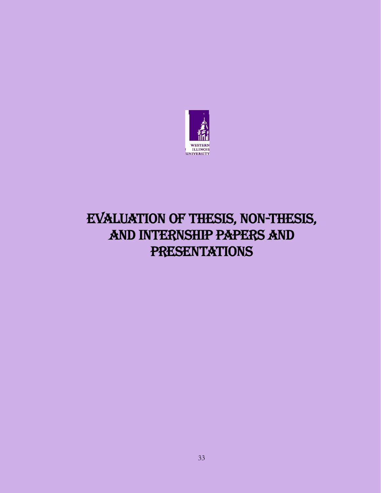

# Evaluation of Thesis, Non-Thesis, and Internship Papers and **PRESENTATIONS**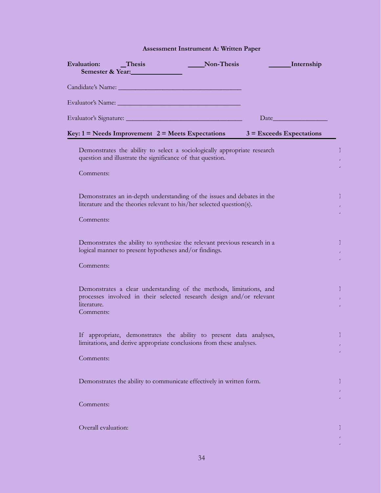## **Assessment Instrument A: Written Paper**

| Evaluation: Thesis       | Semester & Year:                                           | Non-Thesis                                                                                                                                                                                                                     | ________ Internship                                                                                                                                                                                                           |  |
|--------------------------|------------------------------------------------------------|--------------------------------------------------------------------------------------------------------------------------------------------------------------------------------------------------------------------------------|-------------------------------------------------------------------------------------------------------------------------------------------------------------------------------------------------------------------------------|--|
|                          |                                                            | Candidate's Name: Name and Candidate's Name and Candidate's Name and Candidate and Candidate and Candidate and Candidate and Candidate and Candidate and Candidate and Candidate and Candidate and Candidate and Candidate and |                                                                                                                                                                                                                               |  |
|                          |                                                            |                                                                                                                                                                                                                                |                                                                                                                                                                                                                               |  |
|                          |                                                            |                                                                                                                                                                                                                                | Date and the same state of the state of the state of the state of the state of the state of the state of the state of the state of the state of the state of the state of the state of the state of the state of the state of |  |
|                          |                                                            |                                                                                                                                                                                                                                | Key: $1 =$ Needs Improvement $2 =$ Meets Expectations $3 =$ Exceeds Expectations                                                                                                                                              |  |
|                          | question and illustrate the significance of that question. | Demonstrates the ability to select a sociologically appropriate research                                                                                                                                                       |                                                                                                                                                                                                                               |  |
| Comments:                |                                                            |                                                                                                                                                                                                                                |                                                                                                                                                                                                                               |  |
|                          |                                                            | Demonstrates an in-depth understanding of the issues and debates in the<br>literature and the theories relevant to his/her selected question(s).                                                                               |                                                                                                                                                                                                                               |  |
| Comments:                |                                                            |                                                                                                                                                                                                                                |                                                                                                                                                                                                                               |  |
| Comments:                | logical manner to present hypotheses and/or findings.      | Demonstrates the ability to synthesize the relevant previous research in a                                                                                                                                                     |                                                                                                                                                                                                                               |  |
|                          |                                                            |                                                                                                                                                                                                                                |                                                                                                                                                                                                                               |  |
| literature.<br>Comments: |                                                            | Demonstrates a clear understanding of the methods, limitations, and<br>processes involved in their selected research design and/or relevant                                                                                    |                                                                                                                                                                                                                               |  |
|                          |                                                            | If appropriate, demonstrates the ability to present data analyses,<br>limitations, and derive appropriate conclusions from these analyses.                                                                                     |                                                                                                                                                                                                                               |  |
| Comments:                |                                                            |                                                                                                                                                                                                                                |                                                                                                                                                                                                                               |  |
|                          |                                                            | Demonstrates the ability to communicate effectively in written form.                                                                                                                                                           |                                                                                                                                                                                                                               |  |
| Comments:                |                                                            |                                                                                                                                                                                                                                |                                                                                                                                                                                                                               |  |

Overall evaluation: New York 2008 (New York 2008) and the set of the set of the set of the set of the set of the set of the set of the set of the set of the set of the set of the set of the set of the set of the set of the

/ A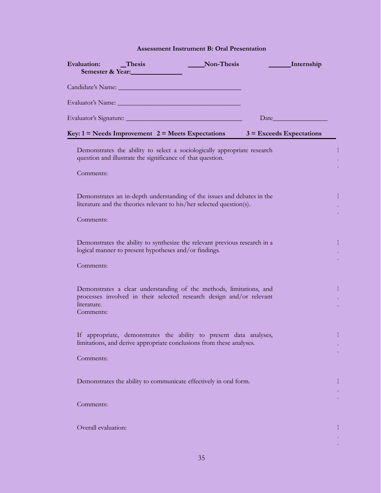#### **Assessment Instrument B: Oral Presentation**

| Evaluation:<br>$\Gamma$ Thesis<br>Semester & Year:                                                                                                                                                                            | Non-Thesis | _Internship                |   |
|-------------------------------------------------------------------------------------------------------------------------------------------------------------------------------------------------------------------------------|------------|----------------------------|---|
| Candidate's Name: Candidate by Name:                                                                                                                                                                                          |            |                            |   |
| Evaluator's Name: Name and the service of the service of the service of the service of the service of the service of the service of the service of the service of the service of the service of the service of the service of |            |                            |   |
| Evaluator's Signature:                                                                                                                                                                                                        |            | Date                       |   |
| <b>Key:</b> $1 =$ Needs Improvement $2 =$ Meets Expectations                                                                                                                                                                  |            | $3$ = Exceeds Expectations |   |
| Demonstrates the ability to select a sociologically appropriate research<br>question and illustrate the significance of that question.                                                                                        |            |                            |   |
| Comments:                                                                                                                                                                                                                     |            |                            |   |
| Demonstrates an in-depth understanding of the issues and debates in the<br>literature and the theories relevant to his/her selected question(s).                                                                              |            |                            |   |
| Comments:                                                                                                                                                                                                                     |            |                            |   |
| Demonstrates the ability to synthesize the relevant previous research in a<br>logical manner to present hypotheses and/or findings.                                                                                           |            |                            |   |
| Comments:                                                                                                                                                                                                                     |            |                            |   |
| Demonstrates a clear understanding of the methods, limitations, and<br>processes involved in their selected research design and/or relevant<br>literature.<br>Comments:                                                       |            |                            |   |
| If appropriate, demonstrates the ability to present data analyses,<br>limitations, and derive appropriate conclusions from these analyses.                                                                                    |            |                            |   |
| Comments:                                                                                                                                                                                                                     |            |                            |   |
| Demonstrates the ability to communicate effectively in oral form.                                                                                                                                                             |            |                            |   |
| Comments:                                                                                                                                                                                                                     |            |                            |   |
| Overall evaluation:                                                                                                                                                                                                           |            |                            | Τ |

/ A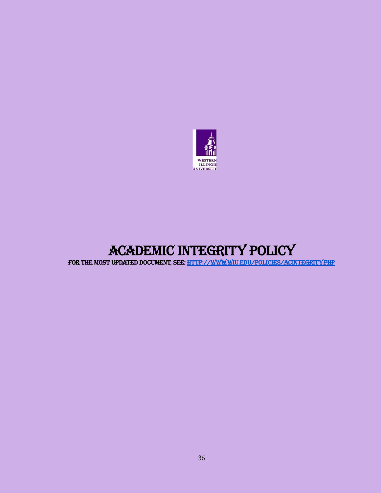

# Academic Integrity Policy

For The Most Updated Document, See: <http://www.wiu.edu/policies/acintegrity.php>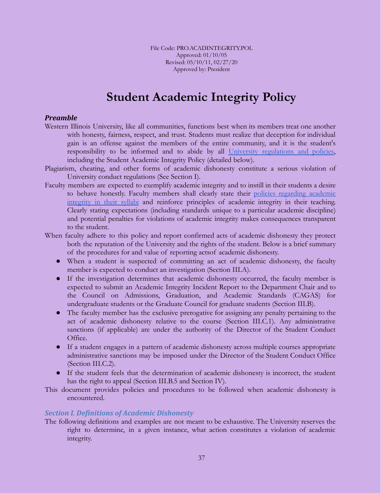File Code: PRO.ACADINTEGRITY.POL Approved: 01/10/05 Revised: 05/10/11, 02/27/20 Approved by: President

# **Student Academic Integrity Policy**

#### *Preamble*

- Western Illinois University, like all communities, functions best when its members treat one another with honesty, fairness, respect, and trust. Students must realize that deception for individual gain is an offense against the members of the entire community, and it is the student's responsibility to be informed and to abide by all University [regulations](http://www.wiu.edu/provost/students/) and policies, including the Student Academic Integrity Policy (detailed below).
- Plagiarism, cheating, and other forms of academic dishonesty constitute a serious violation of University conduct regulations (See Section I).
- Faculty members are expected to exemplify academic integrity and to instill in their students a desire to behave honestly. Faculty members shall clearly state their policies [regarding](http://www.wiu.edu/policies/syllabus.php) academic [integrity](http://www.wiu.edu/policies/syllabus.php) in their syllabi and reinforce principles of academic integrity in their teaching. Clearly stating expectations (including standards unique to a particular academic discipline) and potential penalties for violations of academic integrity makes consequences transparent to the student.
- When faculty adhere to this policy and report confirmed acts of academic dishonesty they protect both the reputation of the University and the rights of the student. Below is a brief summary of the procedures for and value of reporting actsof academic dishonesty.
	- When a student is suspected of committing an act of academic dishonesty, the faculty member is expected to conduct an investigation (Section III.A).
	- If the investigation determines that academic dishonesty occurred, the faculty member is expected to submit an Academic Integrity Incident Report to the Department Chair and to the Council on Admissions, Graduation, and Academic Standards (CAGAS) for undergraduate students or the Graduate Council for graduate students (Section III.B).
	- The faculty member has the exclusive prerogative for assigning any penalty pertaining to the act of academic dishonesty relative to the course (Section III.C.1). Any administrative sanctions (if applicable) are under the authority of the Director of the Student Conduct Office.
	- If a student engages in a pattern of academic dishonesty across multiple courses appropriate administrative sanctions may be imposed under the Director of the Student Conduct Office (Section III.C.2).
	- If the student feels that the determination of academic dishonesty is incorrect, the student has the right to appeal (Section III.B.5 and Section IV).

This document provides policies and procedures to be followed when academic dishonesty is encountered.

#### *Section I. Definitions of Academic Dishonesty*

The following definitions and examples are not meant to be exhaustive. The University reserves the right to determine, in a given instance, what action constitutes a violation of academic integrity.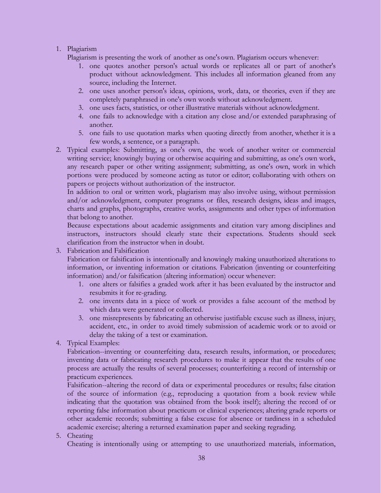### 1. Plagiarism

Plagiarism is presenting the work of another as one'sown. Plagiarism occurs whenever:

- 1. one quotes another person's actual words or replicates all or part of another's product without acknowledgment. This includes all information gleaned from any source, including the Internet.
- 2. one uses another person's ideas, opinions, work, data, or theories, even if they are completely paraphrased in one's own words without acknowledgment.
- 3. one uses facts, statistics, or other illustrative materials without acknowledgment.
- 4. one fails to acknowledge with a citation any close and/or extended paraphrasing of another.
- 5. one fails to use quotation marks when quoting directly from another, whether it is a few words, a sentence, or a paragraph.
- 2. Typical examples: Submitting, as one's own, the work of another writer or commercial writing service; knowingly buying or otherwise acquiring and submitting, as one's own work, any research paper or other writing assignment; submitting, as one's own, work in which portions were produced by someone acting as tutor or editor; collaborating with others on papers or projects without authorization of the instructor.

In addition to oral or written work, plagiarism may also involve using, without permission and/or acknowledgment, computer programs or files, research designs, ideas and images, charts and graphs, photographs, creative works, assignments and other types of information that belong to another.

Because expectations about academic assignments and citation vary among disciplines and instructors, instructors should clearly state their expectations. Students should seek clarification from the instructor when in doubt.

3. Fabrication and Falsification

Fabrication or falsification is intentionally and knowingly making unauthorized alterations to information, or inventing information or citations. Fabrication (inventing or counterfeiting information) and/or falsification (altering information) occur whenever:

- 1. one alters or falsifies a graded work after it has been evaluated by the instructor and resubmits it for re-grading.
- 2. one invents data in a piece of work or provides a false account of the method by which data were generated or collected.
- 3. one misrepresents by fabricating an otherwise justifiable excuse such as illness, injury, accident, etc., in order to avoid timely submission of academic work or to avoid or delay the taking of a test or examination.
- 4. Typical Examples:

Fabrication--inventing or counterfeiting data, research results, information, or procedures; inventing data or fabricating research procedures to make it appear that the results of one process are actually the results of several processes; counterfeiting a record of internship or practicum experiences.

Falsification--altering the record of data or experimental procedures or results; false citation of the source of information (e.g., reproducing a quotation from a book review while indicating that the quotation was obtained from the book itself); altering the record of or reporting false information about practicum or clinical experiences; altering grade reports or other academic records; submitting a false excuse for absence or tardiness in a scheduled academic exercise; altering a returned examination paper and seeking regrading.

5. Cheating

Cheating is intentionally using or attempting to use unauthorized materials, information,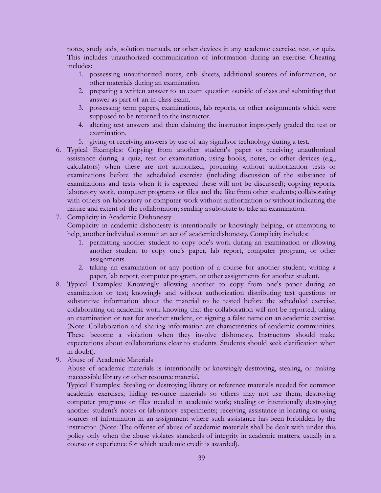notes, study aids, solution manuals, or other devices in any academic exercise, test, or quiz. This includes unauthorized communication of information during an exercise. Cheating includes:

- 1. possessing unauthorized notes, crib sheets, additional sources of information, or other materials during an examination.
- 2. preparing a written answer to an exam question outside of class and submitting that answer as part of an in-class exam.
- 3. possessing term papers, examinations, lab reports, or other assignments which were supposed to be returned to the instructor.
- 4. altering test answers and then claiming the instructor improperly graded the test or examination.
- 5. giving or receiving answers by use of any signalsor technology during a test.
- 6. Typical Examples: Copying from another student's paper or receiving unauthorized assistance during a quiz, test or examination; using books, notes, or other devices (e.g., calculators) when these are not authorized; procuring without authorization tests or examinations before the scheduled exercise (including discussion of the substance of examinations and tests when it is expected these will not be discussed); copying reports, laboratory work, computer programs or files and the like from other students; collaborating with others on laboratory or computer work without authorization or without indicating the nature and extent of the collaboration; sending a substitute to take an examination.

#### 7. Complicity in Academic Dishonesty

Complicity in academic dishonesty is intentionally or knowingly helping, or attempting to help, another individual commit an act of academic dishonesty. Complicity includes:

- 1. permitting another student to copy one's work during an examination or allowing another student to copy one's paper, lab report, computer program, or other assignments.
- 2. taking an examination or any portion of a course for another student; writing a paper, lab report, computer program, or other assignments for another student.
- 8. Typical Examples: Knowingly allowing another to copy from one's paper during an examination or test; knowingly and without authorization distributing test questions or substantive information about the material to be tested before the scheduled exercise; collaborating on academic work knowing that the collaboration will not be reported; taking an examination or test for another student, or signing a false name on an academic exercise. (Note: Collaboration and sharing information are characteristics of academic communities. These become a violation when they involve dishonesty. Instructors should make expectations about collaborations clear to students. Students should seek clarification when in doubt).
- 9. Abuse of Academic Materials

Abuse of academic materials is intentionally or knowingly destroying, stealing, or making inaccessible library or other resource material.

Typical Examples: Stealing or destroying library or reference materials needed for common academic exercises; hiding resource materials so others may not use them; destroying computer programs or files needed in academic work; stealing or intentionally destroying another student's notes or laboratory experiments; receiving assistance in locating or using sources of information in an assignment where such assistance has been forbidden by the instructor. (Note: The offense of abuse of academic materials shall be dealt with under this policy only when the abuse violates standards of integrity in academic matters, usually in a course or experience for which academic credit is awarded).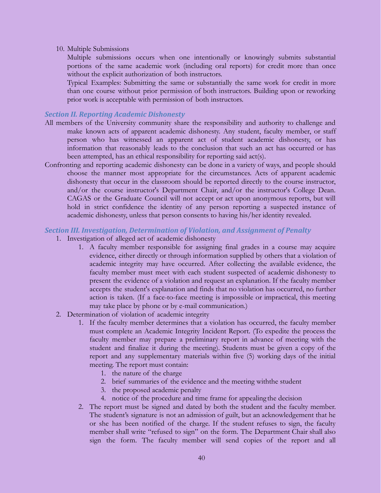10. Multiple Submissions

Multiple submissions occurs when one intentionally or knowingly submits substantial portions of the same academic work (including oral reports) for credit more than once without the explicit authorization of both instructors.

Typical Examples: Submitting the same or substantially the same work for credit in more than one course without prior permission of both instructors. Building upon or reworking prior work is acceptable with permission of both instructors.

#### *Section II. Reporting Academic Dishonesty*

- All members of the University community share the responsibility and authority to challenge and make known acts of apparent academic dishonesty. Any student, faculty member, or staff person who has witnessed an apparent act of student academic dishonesty, or has information that reasonably leads to the conclusion that such an act has occurred or has been attempted, has an ethical responsibility for reporting said act(s).
- Confronting and reporting academic dishonesty can be done in a variety of ways, and people should choose the manner most appropriate for the circumstances. Acts of apparent academic dishonesty that occur in the classroom should be reported directly to the course instructor, and/or the course instructor's Department Chair, and/or the instructor's College Dean. CAGAS or the Graduate Council will not accept or act upon anonymous reports, but will hold in strict confidence the identity of any person reporting a suspected instance of academic dishonesty, unless that person consents to having his/her identity revealed.

#### *Section III. Investigation, Determination of Violation, and Assignment of Penalty*

- 1. Investigation of alleged act of academic dishonesty
	- 1. A faculty member responsible for assigning final grades in a course may acquire evidence, either directly or through information supplied by others that a violation of academic integrity may have occurred. After collecting the available evidence, the faculty member must meet with each student suspected of academic dishonesty to present the evidence of a violation and request an explanation. If the faculty member accepts the student's explanation and finds that no violation has occurred, no further action is taken. (If a face-to-face meeting is impossible or impractical, this meeting may take place by phone or by e-mail communication.)
- 2. Determination of violation of academic integrity
	- 1. If the faculty member determines that a violation has occurred, the faculty member must complete an Academic Integrity Incident Report. (To expedite the process the faculty member may prepare a preliminary report in advance of meeting with the student and finalize it during the meeting). Students must be given a copy of the report and any supplementary materials within five (5) working days of the initial meeting. The report must contain:
		- 1. the nature of the charge
		- 2. brief summaries of the evidence and the meeting withthe student
		- 3. the proposed academic penalty
		- 4. notice of the procedure and time frame for appealing the decision
	- 2. The report must be signed and dated by both the student and the faculty member. The student's signature is not an admission of guilt, but an acknowledgement that he or she has been notified of the charge. If the student refuses to sign, the faculty member shall write "refused to sign" on the form. The Department Chair shall also sign the form. The faculty member will send copies of the report and all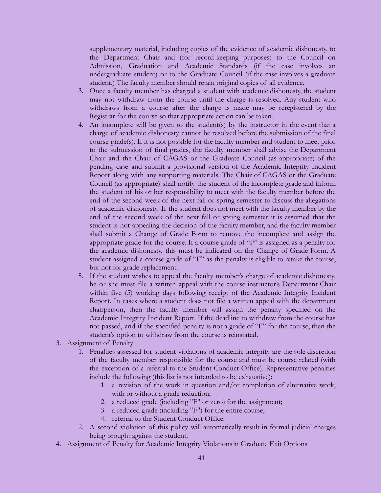supplementary material, including copies of the evidence of academic dishonesty, to the Department Chair and (for record-keeping purposes) to the Council on Admission, Graduation and Academic Standards (if the case involves an undergraduate student) or to the Graduate Council (if the case involves a graduate student.) The faculty member should retain original copies of all evidence.

- 3. Once a faculty member has charged a student with academic dishonesty, the student may not withdraw from the course until the charge is resolved. Any student who withdraws from a course after the charge is made may be reregistered by the Registrar for the course so that appropriate action can be taken.
- 4. An incomplete will be given to the student(s) by the instructor in the event that a charge of academic dishonesty cannot be resolved before the submission of the final course grade(s). If it is not possible for the faculty member and student to meet prior to the submission of final grades, the faculty member shall advise the Department Chair and the Chair of CAGAS or the Graduate Council (as appropriate) of the pending case and submit a provisional version of the Academic Integrity Incident Report along with any supporting materials. The Chair of CAGAS or the Graduate Council (as appropriate) shall notify the student of the incomplete grade and inform the student of his or her responsibility to meet with the faculty member before the end of the second week of the next fall or spring semester to discuss the allegations of academic dishonesty. If the student does not meet with the faculty member by the end of the second week of the next fall or spring semester it is assumed that the student is not appealing the decision of the faculty member, and the faculty member shall submit a Change of Grade Form to remove the incomplete and assign the appropriate grade for the course. If a course grade of "F" is assigned as a penalty for the academic dishonesty, this must be indicated on the Change of Grade Form. A student assigned a course grade of "F" as the penalty is eligible to retake the course, but not for grade replacement.
- 5. If the student wishes to appeal the faculty member's charge of academic dishonesty, he or she must file a written appeal with the course instructor's Department Chair within five (5) working days following receipt of the Academic Integrity Incident Report. In cases where a student does not file a written appeal with the department chairperson, then the faculty member will assign the penalty specified on the Academic Integrity Incident Report. If the deadline to withdraw from the course has not passed, and if the specified penalty is not a grade of "F" for the course, then the student's option to withdraw from the course is reinstated.
- 3. Assignment of Penalty
	- 1. Penalties assessed for student violations of academic integrity are the sole discretion of the faculty member responsible for the course and must be course related (with the exception of a referral to the Student Conduct Office). Representative penalties include the following (this list is not intended to be exhaustive):
		- 1. a revision of the work in question and/or completion of alternative work, with or without a grade reduction;
		- 2. a reduced grade (including "F" or zero) for the assignment;
		- 3. a reduced grade (including "F") for the entire course;
		- 4. referral to the Student Conduct Office.
	- 2. A second violation of this policy will automatically result in formal judicial charges being brought against the student.
- 4. Assignment of Penalty for Academic Integrity Violationsin Graduate Exit Options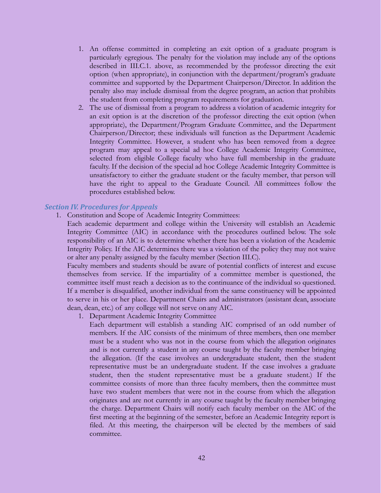- 1. An offense committed in completing an exit option of a graduate program is particularly egregious. The penalty for the violation may include any of the options described in III.C.1. above, as recommended by the professor directing the exit option (when appropriate), in conjunction with the department/program's graduate committee and supported by the Department Chairperson/Director. In addition the penalty also may include dismissal from the degree program, an action that prohibits the student from completing program requirements for graduation.
- 2. The use of dismissal from a program to address a violation of academic integrity for an exit option is at the discretion of the professor directing the exit option (when appropriate), the Department/Program Graduate Committee, and the Department Chairperson/Director; these individuals will function as the Department Academic Integrity Committee. However, a student who has been removed from a degree program may appeal to a special ad hoc College Academic Integrity Committee, selected from eligible College faculty who have full membership in the graduate faculty. If the decision of the special ad hoc College Academic Integrity Committee is unsatisfactory to either the graduate student or the faculty member, that person will have the right to appeal to the Graduate Council. All committees follow the procedures established below.

#### *Section IV. Procedures for Appeals*

1. Constitution and Scope of Academic Integrity Committees:

Each academic department and college within the University will establish an Academic Integrity Committee (AIC) in accordance with the procedures outlined below. The sole responsibility of an AIC is to determine whether there has been a violation of the Academic Integrity Policy. If the AIC determines there was a violation of the policy they may not waive or alter any penalty assigned by the faculty member (Section III.C).

Faculty members and students should be aware of potential conflicts of interest and excuse themselves from service. If the impartiality of a committee member is questioned, the committee itself must reach a decision as to the continuance of the individual so questioned. If a member is disqualified, another individual from the same constituency will be appointed to serve in his or her place. Department Chairs and administrators (assistant dean, associate dean, dean, etc.) of any college will not serve onany AIC.

1. Department Academic Integrity Committee

Each department will establish a standing AIC comprised of an odd number of members. If the AIC consists of the minimum of three members, then one member must be a student who was not in the course from which the allegation originates and is not currently a student in any course taught by the faculty member bringing the allegation. (If the case involves an undergraduate student, then the student representative must be an undergraduate student. If the case involves a graduate student, then the student representative must be a graduate student.) If the committee consists of more than three faculty members, then the committee must have two student members that were not in the course from which the allegation originates and are not currently in any course taught by the faculty member bringing the charge. Department Chairs will notify each faculty member on the AIC of the first meeting at the beginning of the semester, before an Academic Integrity report is filed. At this meeting, the chairperson will be elected by the members of said committee.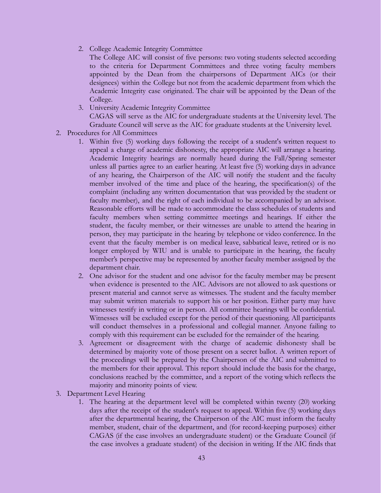2. College Academic Integrity Committee

The College AIC will consist of five persons: two voting students selected according to the criteria for Department Committees and three voting faculty members appointed by the Dean from the chairpersons of Department AICs (or their designees) within the College but not from the academic department from which the Academic Integrity case originated. The chair will be appointed by the Dean of the College.

3. University Academic Integrity Committee CAGAS will serve as the AIC for undergraduate students at the University level. The

Graduate Council will serve as the AIC for graduate students at the University level.

- 2. Procedures for All Committees
	- 1. Within five (5) working days following the receipt of a student's written request to appeal a charge of academic dishonesty, the appropriate AIC will arrange a hearing. Academic Integrity hearings are normally heard during the Fall/Spring semester unless all parties agree to an earlier hearing. At least five (5) working days in advance of any hearing, the Chairperson of the AIC will notify the student and the faculty member involved of the time and place of the hearing, the specification(s) of the complaint (including any written documentation that was provided by the student or faculty member), and the right of each individual to be accompanied by an advisor. Reasonable efforts will be made to accommodate the class schedules of students and faculty members when setting committee meetings and hearings. If either the student, the faculty member, or their witnesses are unable to attend the hearing in person, they may participate in the hearing by telephone or video conference. In the event that the faculty member is on medical leave, sabbatical leave, retired or is no longer employed by WIU and is unable to participate in the hearing, the faculty member's perspective may be represented by another faculty member assigned by the department chair.
	- 2. One advisor for the student and one advisor for the faculty member may be present when evidence is presented to the AIC. Advisors are not allowed to ask questions or present material and cannot serve as witnesses. The student and the faculty member may submit written materials to support his or her position. Either party may have witnesses testify in writing or in person. All committee hearings will be confidential. Witnesses will be excluded except for the period of their questioning. All participants will conduct themselves in a professional and collegial manner. Anyone failing to comply with this requirement can be excluded for the remainder of the hearing.
	- 3. Agreement or disagreement with the charge of academic dishonesty shall be determined by majority vote of those present on a secret ballot. A written report of the proceedings will be prepared by the Chairperson of the AIC and submitted to the members for their approval. This report should include the basis for the charge, conclusions reached by the committee, and a report of the voting which reflects the majority and minority points of view.
- 3. Department Level Hearing
	- 1. The hearing at the department level will be completed within twenty (20) working days after the receipt of the student's request to appeal. Within five (5) working days after the departmental hearing, the Chairperson of the AIC must inform the faculty member, student, chair of the department, and (for record-keeping purposes) either CAGAS (if the case involves an undergraduate student) or the Graduate Council (if the case involves a graduate student) of the decision in writing. If the AIC finds that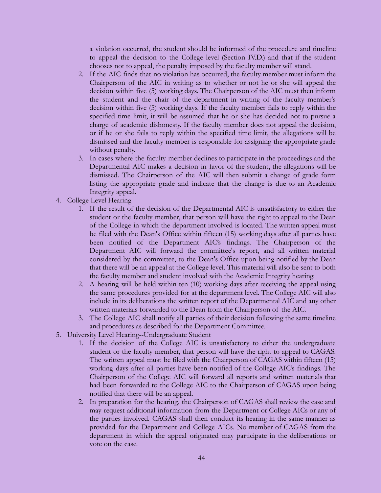a violation occurred, the student should be informed of the procedure and timeline to appeal the decision to the College level (Section IV.D.) and that if the student chooses not to appeal, the penalty imposed by the faculty member will stand.

- 2. If the AIC finds that no violation has occurred, the faculty member must inform the Chairperson of the AIC in writing as to whether or not he or she will appeal the decision within five (5) working days. The Chairperson of the AIC must then inform the student and the chair of the department in writing of the faculty member's decision within five (5) working days. If the faculty member fails to reply within the specified time limit, it will be assumed that he or she has decided not to pursue a charge of academic dishonesty. If the faculty member does not appeal the decision, or if he or she fails to reply within the specified time limit, the allegations will be dismissed and the faculty member is responsible for assigning the appropriate grade without penalty.
- 3. In cases where the faculty member declines to participate in the proceedings and the Departmental AIC makes a decision in favor of the student, the allegations will be dismissed. The Chairperson of the AIC will then submit a change of grade form listing the appropriate grade and indicate that the change is due to an Academic Integrity appeal.
- 4. College Level Hearing
	- 1. If the result of the decision of the Departmental AIC is unsatisfactory to either the student or the faculty member, that person will have the right to appeal to the Dean of the College in which the department involved is located. The written appeal must be filed with the Dean's Office within fifteen (15) working days after all parties have been notified of the Department AIC's findings. The Chairperson of the Department AIC will forward the committee's report, and all written material considered by the committee, to the Dean's Office upon being notified by the Dean that there will be an appeal at the College level. This material will also be sent to both the faculty member and student involved with the Academic Integrity hearing.
	- 2. A hearing will be held within ten (10) working days after receiving the appeal using the same procedures provided for at the department level. The College AIC will also include in its deliberations the written report of the Departmental AIC and any other written materials forwarded to the Dean from the Chairperson of the AIC.
	- 3. The College AIC shall notify all parties of their decision following the same timeline and procedures as described for the Department Committee.
- 5. University Level Hearing--Undergraduate Student
	- 1. If the decision of the College AIC is unsatisfactory to either the undergraduate student or the faculty member, that person will have the right to appeal to CAGAS. The written appeal must be filed with the Chairperson of CAGAS within fifteen (15) working days after all parties have been notified of the College AIC's findings. The Chairperson of the College AIC will forward all reports and written materials that had been forwarded to the College AIC to the Chairperson of CAGAS upon being notified that there will be an appeal.
	- 2. In preparation for the hearing, the Chairperson of CAGAS shall review the case and may request additional information from the Department or College AICs or any of the parties involved. CAGAS shall then conduct its hearing in the same manner as provided for the Department and College AICs. No member of CAGAS from the department in which the appeal originated may participate in the deliberations or vote on the case.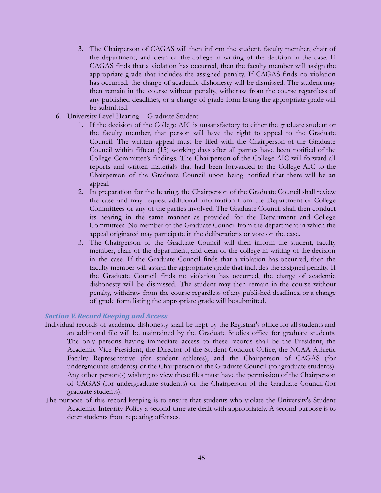- 3. The Chairperson of CAGAS will then inform the student, faculty member, chair of the department, and dean of the college in writing of the decision in the case. If CAGAS finds that a violation has occurred, then the faculty member will assign the appropriate grade that includes the assigned penalty. If CAGAS finds no violation has occurred, the charge of academic dishonesty will be dismissed. The student may then remain in the course without penalty, withdraw from the course regardless of any published deadlines, or a change of grade form listing the appropriate grade will be submitted.
- 6. University Level Hearing -- Graduate Student
	- 1. If the decision of the College AIC is unsatisfactory to either the graduate student or the faculty member, that person will have the right to appeal to the Graduate Council. The written appeal must be filed with the Chairperson of the Graduate Council within fifteen (15) working days after all parties have been notified of the College Committee's findings. The Chairperson of the College AIC will forward all reports and written materials that had been forwarded to the College AIC to the Chairperson of the Graduate Council upon being notified that there will be an appeal.
	- 2. In preparation for the hearing, the Chairperson of the Graduate Council shall review the case and may request additional information from the Department or College Committees or any of the parties involved. The Graduate Council shall then conduct its hearing in the same manner as provided for the Department and College Committees. No member of the Graduate Council from the department in which the appeal originated may participate in the deliberations or vote on the case.
	- 3. The Chairperson of the Graduate Council will then inform the student, faculty member, chair of the department, and dean of the college in writing of the decision in the case. If the Graduate Council finds that a violation has occurred, then the faculty member will assign the appropriate grade that includes the assigned penalty. If the Graduate Council finds no violation has occurred, the charge of academic dishonesty will be dismissed. The student may then remain in the course without penalty, withdraw from the course regardless of any published deadlines, or a change of grade form listing the appropriate grade will be submitted.

#### *Section V. Record Keeping and Access*

- Individual records of academic dishonesty shall be kept by the Registrar's office for all students and an additional file will be maintained by the Graduate Studies office for graduate students. The only persons having immediate access to these records shall be the President, the Academic Vice President, the Director of the Student Conduct Office, the NCAA Athletic Faculty Representative (for student athletes), and the Chairperson of CAGAS (for undergraduate students) or the Chairperson of the Graduate Council (for graduate students). Any other person(s) wishing to view these files must have the permission of the Chairperson of CAGAS (for undergraduate students) or the Chairperson of the Graduate Council (for graduate students).
- The purpose of this record keeping is to ensure that students who violate the University's Student Academic Integrity Policy a second time are dealt with appropriately. A second purpose is to deter students from repeating offenses.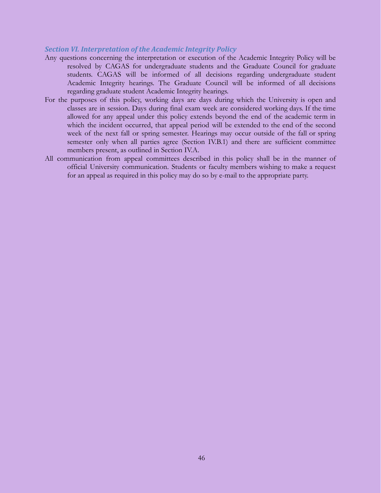#### *Section VI. Interpretation of the Academic Integrity Policy*

- Any questions concerning the interpretation or execution of the Academic Integrity Policy will be resolved by CAGAS for undergraduate students and the Graduate Council for graduate students. CAGAS will be informed of all decisions regarding undergraduate student Academic Integrity hearings. The Graduate Council will be informed of all decisions regarding graduate student Academic Integrity hearings.
- For the purposes of this policy, working days are days during which the University is open and classes are in session. Days during final exam week are considered working days. If the time allowed for any appeal under this policy extends beyond the end of the academic term in which the incident occurred, that appeal period will be extended to the end of the second week of the next fall or spring semester. Hearings may occur outside of the fall or spring semester only when all parties agree (Section IV.B.1) and there are sufficient committee members present, as outlined in Section IV.A.
- All communication from appeal committees described in this policy shall be in the manner of official University communication. Students or faculty members wishing to make a request for an appeal as required in this policy may do so by e-mail to the appropriate party.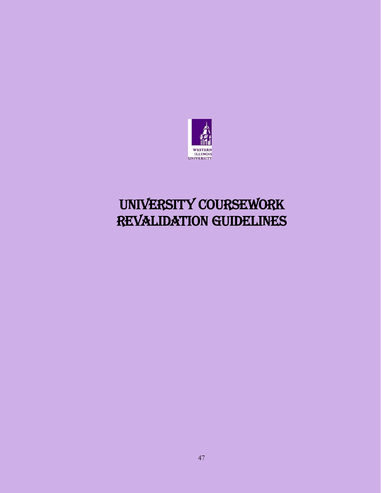

# UNIVERSITY COURSEWORK Revalidation Guidelines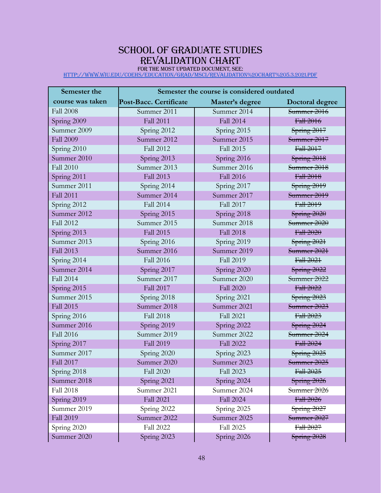# SCHOOL OF GRADUATE STUDIES Revalidation Chart

For the most Updated Document, See: <http://www.wiu.edu/coehs/education/grad/msci/Revalidation%20Chart%205.3.2021.pdf>

| Semester the     | Semester the course is considered outdated |                  |                 |
|------------------|--------------------------------------------|------------------|-----------------|
| course was taken | Post-Bacc. Certificate<br>Master's degree  |                  | Doctoral degree |
| <b>Fall 2008</b> | Summer 2011                                | Summer 2014      | Summer 2016     |
| Spring 2009      | <b>Fall 2011</b>                           | <b>Fall 2014</b> | Fall 2016       |
| Summer 2009      | Spring 2012                                | Spring 2015      | Spring 2017     |
| <b>Fall 2009</b> | Summer 2012                                | Summer 2015      | Summer 2017     |
| Spring 2010      | <b>Fall 2012</b>                           | <b>Fall 2015</b> | Fall 2017       |
| Summer 2010      | Spring 2013                                | Spring 2016      | Spring 2018     |
| <b>Fall 2010</b> | Summer 2013                                | Summer 2016      | Summer 2018     |
| Spring 2011      | <b>Fall 2013</b>                           | <b>Fall 2016</b> | Fall 2018       |
| Summer 2011      | Spring 2014                                | Spring 2017      | Spring 2019     |
| <b>Fall 2011</b> | Summer 2014                                | Summer 2017      | Summer 2019     |
| Spring 2012      | <b>Fall 2014</b>                           | Fall 2017        | Fall 2019       |
| Summer 2012      | Spring 2015                                | Spring 2018      | Spring $2020$   |
| <b>Fall 2012</b> | Summer 2015                                | Summer 2018      | Summer 2020     |
| Spring 2013      | <b>Fall 2015</b>                           | <b>Fall 2018</b> | Fall 2020       |
| Summer 2013      | Spring 2016                                | Spring 2019      | Spring 2021     |
| <b>Fall 2013</b> | Summer 2016                                | Summer 2019      | Summer 2021     |
| Spring 2014      | <b>Fall 2016</b>                           | <b>Fall 2019</b> | Fall 2021       |
| Summer 2014      | Spring 2017                                | Spring 2020      | Spring 2022     |
| <b>Fall 2014</b> | Summer 2017                                | Summer 2020      | Summer 2022     |
| Spring 2015      | <b>Fall 2017</b>                           | <b>Fall 2020</b> | Fall 2022       |
| Summer 2015      | Spring 2018                                | Spring 2021      | Spring 2023     |
| <b>Fall 2015</b> | Summer 2018                                | Summer 2021      | Summer 2023     |
| Spring 2016      | <b>Fall 2018</b>                           | <b>Fall 2021</b> | Fall 2023       |
| Summer 2016      | Spring 2019                                | Spring 2022      | Spring 2024     |
| <b>Fall 2016</b> | Summer 2019                                | Summer 2022      | Summer 2024     |
| Spring 2017      | <b>Fall 2019</b>                           | <b>Fall 2022</b> | Fall 2024       |
| Summer 2017      | Spring 2020                                | Spring 2023      | Spring 2025     |
| <b>Fall 2017</b> | Summer 2020                                | Summer 2023      | Summer 2025     |
| Spring 2018      | <b>Fall 2020</b>                           | Fall 2023        | Fall 2025       |
| Summer 2018      | Spring 2021                                | Spring 2024      | Spring 2026     |
| <b>Fall 2018</b> | Summer 2021                                | Summer 2024      | Summer 2026     |
| Spring 2019      | <b>Fall 2021</b>                           | <b>Fall 2024</b> | Fall 2026       |
| Summer 2019      | Spring 2022                                | Spring 2025      | Spring 2027     |
| <b>Fall 2019</b> | Summer 2022                                | Summer 2025      | Summer 2027     |
| Spring 2020      | <b>Fall 2022</b>                           | <b>Fall 2025</b> | Fall 2027       |
| Summer 2020      | Spring 2023                                | Spring 2026      | Spring 2028     |